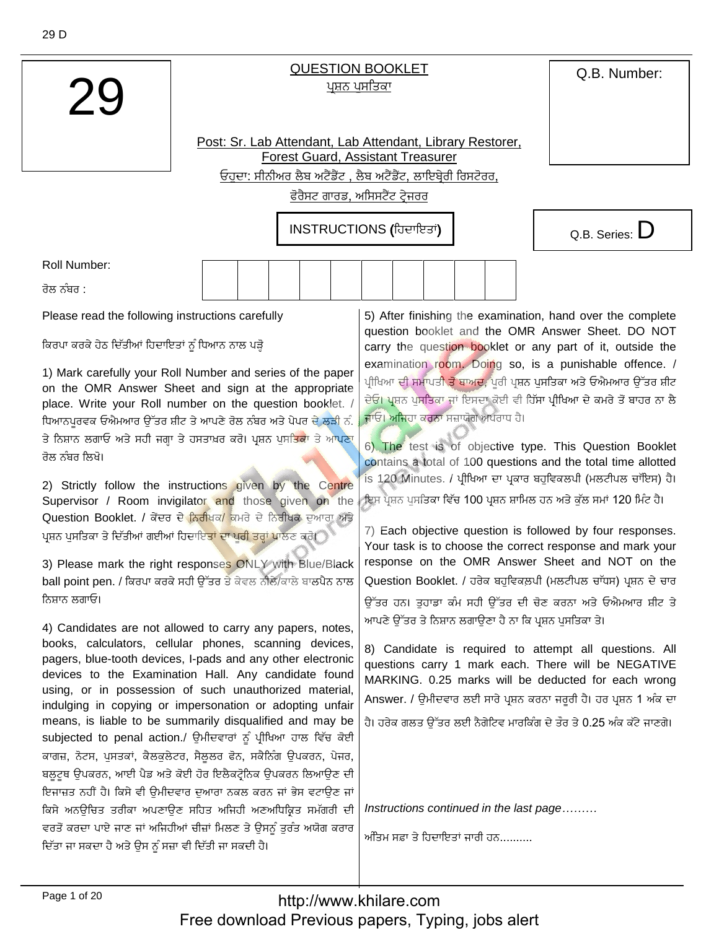O.B. Number:

## **QUESTION BOOKLET** ਪਸ਼ਨ ਪਸਤਿਕਾ

Post: Sr. Lab Attendant, Lab Attendant, Library Restorer, **Forest Guard, Assistant Treasurer** ਓਹਦਾ: ਸੀਨੀਅਰ ਲੈਬ ਅਟੈਂਡੈਂਟ , ਲੈਬ ਅਟੈਂਡੈਂਟ, ਲਾਇਬ੍ਰੇਰੀ ਰਿਸਟੋਰਰ,

ਫੋਰੈਸਟ ਗਾਰਡ, ਅਸਿਸਟੈਂਟ ਟੇਜਰਰ

INSTRUCTIONS (ਹਿਦਾਇਤਾਂ)



**Roll Number:** 

ਰੋਲ ਨੰਬਰ <sup>-</sup>

Please read the following instructions carefully

ਕਿਰਪਾ ਕਰਕੇ ਹੇਠ ਦਿੱਤੀਆਂ ਹਿਦਾਇਤਾਂ ਨੂੰ ਧਿਆਨ ਨਾਲ ਪੜ੍ਹੋ

1) Mark carefully your Roll Number and series of the paper on the OMR Answer Sheet and sign at the appropriate place. Write your Roll number on the question booklet. / ਧਿਆਨਪਰਵਕ ਓਐਮਆਰ ਉੱਤਰ ਸ਼ੀਟ ਤੇ ਆਪਣੇ ਰੋਲ ਨੰਬਰ ਅਤੇ ਪੇਪਰ ਦੇ ਲੜੀ ਨੰ. ਤੇ ਨਿਸ਼ਾਨ ਲਗਾਓ ਅਤੇ ਸਹੀ ਜਗ੍ਹਾ ਤੇ ਹਸਤਾਖ਼ਰ ਕਰੋ। ਪ੍ਰਸ਼ਨ ਪੁਸ<mark>ਤਿਕਾ</mark> ਤੇ ਆਪਣਾ ਰੋਲ ਨੰਬਰ ਲਿਖੋ।

2) Strictly follow the instructions given by the Centre Supervisor / Room invigilator and those given on the Question Booklet. / ਕੇਂਦਰ ਦੇ <mark>ਨਿਰੀਖਕ/</mark> ਕਮਰੇ ਦੇ ਨਿਰੀਖਕ ਦੁਆਰਾ ਅਤੇ ਪਸ਼ਨ ਪਸਤਿਕਾ ਤੇ ਦਿੱਤੀਆਂ ਗਈਆਂ ਹਿਦਾਇ<mark>ਤਾਂ ਦਾ ਪਰੀ ਤਰ੍ਹਾਂ ਪਾ</mark>ਲਣ ਕਰੋ।

3) Please mark the right responses ONLY with Blue/Black ball point pen. / ਕਿਰਪਾ ਕਰਕੇ ਸਹੀ ਉੱਤਰ ਤੇ ਕੇਵਲ ਨੀਲੈ/ਕਾਲੇ ਬਾਲਪੈਨ ਨਾਲ ਨਿਸਾਨ ਲਗਾਓ।

4) Candidates are not allowed to carry any papers, notes, books, calculators, cellular phones, scanning devices, pagers, blue-tooth devices, I-pads and any other electronic devices to the Examination Hall. Any candidate found using, or in possession of such unauthorized material, indulging in copying or impersonation or adopting unfair means, is liable to be summarily disqualified and may be subjected to penal action./ ਉਮੀਦਵਾਰਾਂ ਨੂੰ ਪੀਖਿਆ ਹਾਲ ਵਿੱਚ ਕੋਈ ਕਾਗਜ਼, ਨੋਟਸ, ਪੁਸਤਕਾਂ, ਕੈਲਕੁਲੇਟਰ, ਸੈਲੂਲਰ ਫੋਨ, ਸਕੈਨਿੰਗ ਉਪਕਰਨ, ਪੇਜਰ, ਬਲੁਟੁਥ ਉਪਕਰਨ, ਆਈ ਪੈਡ ਅਤੇ ਕੋਈ ਹੋਰ ਇਲੈਕਟ੍ਰੋਨਿਕ ਉਪਕਰਨ ਲਿਆਉਣ ਦੀ ਇਜਾਜ਼ਤ ਨਹੀਂ ਹੈ। ਕਿਸੇ ਵੀ ਉਮੀਦਵਾਰ ਦੁਆਰਾ ਨਕਲ ਕਰਨ ਜਾਂ ਭੇਸ ਵਟਾਉਣ ਜਾਂ ਕਿਸੇ ਅਨਊਚਿਤ ਤਰੀਕਾ ਅਪਣਾਉਣ ਸਹਿਤ ਅਜਿਹੀ ਅਣਅਧਿਕ੍ਰਿਤ ਸਮੱਗਰੀ ਦੀ ਵਰਤੋਂ ਕਰਦਾ ਪਾਏ ਜਾਣ ਜਾਂ ਅਜਿਹੀਆਂ ਚੀਜ਼ਾਂ ਮਿਲਣ ਤੇ ਉਸਨੂੰ ਤਰੰਤ ਅਯੋਗ ਕਰਾਰ ਦਿੱਤਾ ਜਾ ਸਕਦਾ ਹੈ ਅਤੇ ਉਸ ਨੂੰ ਸਜ਼ਾ ਵੀ ਦਿੱਤੀ ਜਾ ਸਕਦੀ ਹੈ।

5) After finishing the examination, hand over the complete question booklet and the OMR Answer Sheet. DO NOT carry the question booklet or any part of it, outside the examination room. Doing so, is a punishable offence. / ਪੀਖਿਆ ਦੀ ਸਮਾਪਤ<mark>ੀ ਤੋਂ ਬਾਅਦ,</mark> ਪਰੀ ਪ੍ਰਸ਼ਨ ਪਸਤਿਕਾ ਅਤੇ ਓਐਮਆਰ ਉੱਤਰ ਸ਼ੀਟ ਦੇਓ। ਪ੍ਰਸ਼ਨ ਪੁਸਤਿਕਾ ਜਾਂ ਇਸਦਾ ਕੋਈ ਵੀ ਹਿੱਸਾ ਪ੍ਰੀਖਿਆ ਦੇ ਕਮਰੇ ਤੋਂ ਬਾਹਰ ਨਾ ਲੈ ਜਾਓ। ਅਜਿਹਾ ਕਰਨਾ ਸਜ਼ਾਯੋਗ ਅਪਰਾਧ ਹੈ।

6) The test is of objective type. This Question Booklet contains a total of 100 questions and the total time allotted is 120 Minutes. / ਪੀਖਿਆ ਦਾ ਪਕਾਰ ਬਹਵਿਕਲਪੀ (ਮਲਟੀਪਲ ਚਾੱਇਸ) ਹੈ। ਇਸ ਪੁਸ਼ਨ ਪਸਤਿਕਾ ਵਿੱਚ 100 ਪੁਸ਼ਨ ਸ਼ਾਮਿਲ ਹਨ ਅਤੇ ਕੱਲ ਸਮਾਂ 120 ਮਿੰਟ ਹੈ।

7) Each objective question is followed by four responses. Your task is to choose the correct response and mark your response on the OMR Answer Sheet and NOT on the Question Booklet. / ਹਰੇਕ ਬਹਵਿਕਲਪੀ (ਮਲਟੀਪਲ ਚਾੱਧਸ) ਪਸ਼ਨ ਦੇ ਚਾਰ ਉੱਤਰ ਹਨ। ਤਹਾਡਾ ਕੰਮ ਸਹੀ ਉੱਤਰ ਦੀ ਚੋਣ ਕਰਨਾ ਅਤੇ ਓਐਮਆਰ ਸ਼ੀਟ ਤੇ ਆਪਣੇ ਉੱਤਰ ਤੇ ਨਿਸ਼ਾਨ ਲਗਾਉਣਾ ਹੈ ਨਾ ਕਿ ਪ੍ਰਸ਼ਨ ਪਸਤਿਕਾ ਤੇ।

8) Candidate is required to attempt all questions. All questions carry 1 mark each. There will be NEGATIVE MARKING. 0.25 marks will be deducted for each wrong Answer. / ੳਮੀਦਵਾਰ ਲਈ ਸਾਰੇ ਪ੍ਰਸ਼ਨ ਕਰਨਾ ਜਰਰੀ ਹੈ। ਹਰ ਪ੍ਰਸ਼ਨ 1 ਅੰਕ ਦਾ

ਹੈ। ਹਰੇਕ ਗਲਤ ਉੱਤਰ ਲਈ ਨੈਗੇਟਿਵ ਮਾਰਕਿੰਗ ਦੇ ਤੌਰ ਤੇ 0.25 ਅੰਕ ਕੱਟੇ ਜਾਣਗੇ।

Instructions continued in the last page.........

ਅੰਤਿਮ ਸਫ਼ਾ ਤੇ ਹਿਦਾਇਤਾਂ ਜਾਰੀ ਹਨ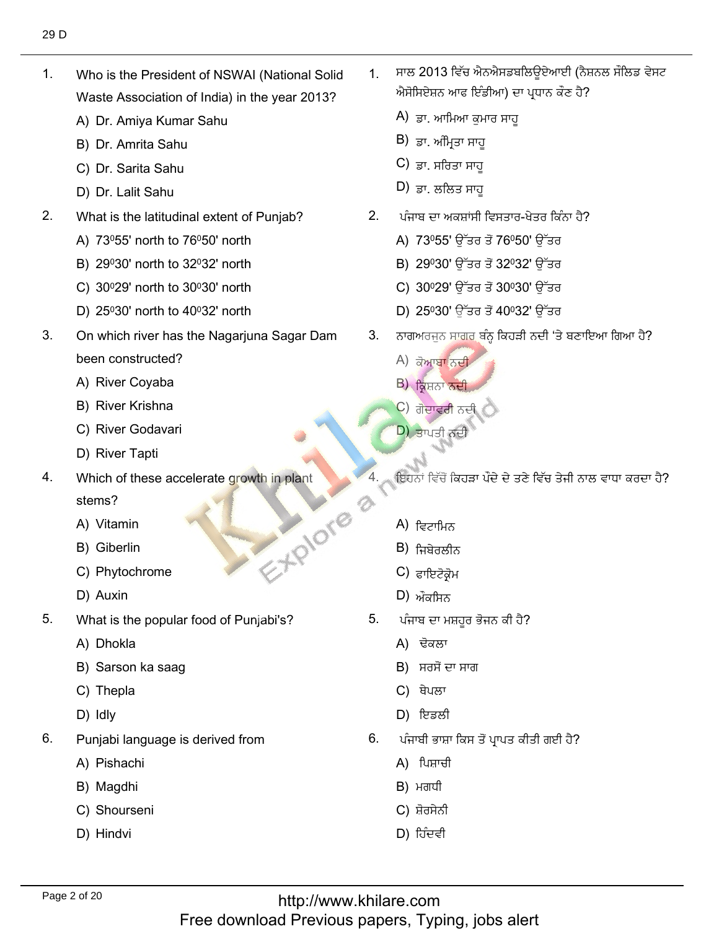$1.$ Who is the President of NSWAI (National Solid Waste Association of India) in th<br>A) Dr. Amiva Kumar Sahu

1. Who is the President of NSWAI (National Solid Solid Solid Solid Solid Solid Solid Solid Solid Solid Solid S

- A) Dr. Amiya Kumar Sał<br>B) Dr. Amrita Sahu
- B) Dr. Amrita Sahu<br>C) Dr. Sarita Sahu
- C) Dr. Sarita Sahu<br>D) Dr. Lalit Sahu
- D) Dr. Lalit Sahu
- $2.$ What is the latitudinal extent of Punj<br>A) 73º55' north to 76º50' north
	- A) 73º55' north to 76º50' north
	- A) 73º55' north to 76º50' north<br>B) 29º30' north to 32º32' north<br>C) 30º29' north to 30º30' north
	- C) 30º29' north to 30º30' north<br>D) 25º30' north to 40º32' north
	- D)  $25^{\circ}30'$  north to  $40^{\circ}32'$  north
- $3.$ On which river has the Nagarjuna Sagar Dam been constructed?<br>A) River Covaba
	- A) River Coyaba<br>B) River Krishna
	- B) River Krishna
	- B) River Krishna<br>C) River Godavari<br>D) River Tapti
	- D) River Tapti
- 4. Which of these accelerate growth in plant EXPIDED 8 stems? stems?<br>A) Vitamin<br>B) Giberlin
	-
	- B) Giberlin
	- B) Giberlin<br>C) Phytochrome<br>D) Auxin
	-
- 5. What is the popular food of Punjabi's? A) Dhokla
	- A) Dhokla
	- A) Dhokla<br>B) Sarson ka saag<br>C) Thepla
	- C) Thepla<br>D) Idlv
	- D) Idly
- 6. Punjabi language<br>A) Pishachi
	- A) Pishachi<br>B) Maɑdhi
	- B) Magdhi
	- B) Magdhi<br>C) Shourseni<br>D) Hindvi
	-

ਸਾਲ 2013 ਵਿੱਚ ਐਨਐਸਡਬਲਿੳਏਆਈ (ਨੈਸ਼ਨਲ ਸੌਲਿਡ ਵੇਸਟ  $1<sup>1</sup>$ ਐਸੋਸਿਏਸ਼ਨ ਆਫ ਇੰਡੀਆ) ਦ<br>A) ਤਾ. ਆਖਿਆ ਕੁਮਾਰ ਸਾਹ

غٍّ عَنْكَ الْمُسْتَخِيرِ بِينَ الْمُسْتَخِيرِ بِينَ الْمُسْتَخِيرِ بِينَ الْمُسْتَخِيرِ بِينَ الْمُسْتَخِيرِ ب

- A) ਡਾ. ਆਮਿਆ ਕੁਮ<br>B) ਤਾ. ਅੰਮਿਤਾ ਸਾਹ
- B) ਡਾ. ਅੰਮ੍ਰਿਤਾ ਸਾਹੂ<br>C) ਤਾ. ਸ਼ਰਿਤਾ ਸਾਹ
- C) ਡਾ. ਸਰਿਤਾ ਸਾਹੂ<br>D) ਤਾ. ਲਲਿਤ ਸਾਹ
- $D$ ) ਡਾ. ਲਲਿਤ ਸਾਹ
- ਪੰਜਾਬ ਦਾ ਅਕਸ਼ਾਂਸੀ ਵਿਸਤਾਰ-ਖੇਤਰ ਕਿੰਨਾ ਹੈ?  $2.$ ਪੰਜਾਬ ਦਾ ਅਕਸ਼ਾਂਸੀ ਵਿਸਤਾਰ-ਖੇ<br>A) 73º55' ਉੱਤਰ ਤੋਂ 76º50'
	- A) 73º55' ਉੱਤਰ ਤੋਂ 76º50' ਉੱਤਰ<br>B) 29º30' ਉੱਤਰ ਤੋਂ 32º32' ਉੱਤਰ
	- B) 29º30' ਉੱਤਰ ਤੋਂ 32º32' ਉੱਤਰ<br>C) 30º29' ਉੱਤਰ ਤੋਂ 30º30' ਉੱਤਰ
	- C) 30º29' ਉੱਤਰ ਤੋਂ 30º30' ਉੱਤਰ
- C) 30º29' ਉੱਤਰ ਤੋਂ 30º30' ਉੱਤਰ<br>D) 25º30' ਉੱਤਰ ਤੋਂ 40º32' ਉੱਤਰ
	- $3.$ ਨਾਗਅਰਜੁਨ ਸਾਗ<br>A) *ਡੋ*ਆਬਾ ਨਦੀ
		- A) ਕੋਆ<mark>ਬਾ ਨਦੀ</mark><br>B) ਇਸਨਾ ਨਦੀ
		- В) ਕ੍ਰਿਸ਼ਨਾ <mark>ਨਦੀ</mark><br>С) ਗੋਦਾਵਰੀ ਨਦੀ
		- C) ਗੋ<mark>ਦਾਵਰੀ</mark> ਨਦੀ<br>D) ਕਾਮੜੀ ਨਦੀ
		-
		- ਇਹਨਾਂ ਵਿੱਚੋਂ ਕਿਹੜਾ ਪੌਦੇ ਦੇ ਤਣੇ ਵਿੱਚ ਤੇਜੀ ਨਾਲ ਵਾਧਾ ਕਰਦਾ ਹੈ?

أَيُّ فِي الْكُبَرِّ بِيَ الْكُبَرِّ بِي الْكِبَرِ الْكِبَرِ الْكَبَرِ الْكُبَرَ الْكُبَرَ الْكُبَرَ الْكُبَرَ<br>وَالْكُبُرَ الْكُبَرَ الْكُبَرَ الْكُبِبَ الْكُبِبِينَ الْكُبِبِينَ الْكُبْبَ الْكُبِبِينَ الْكُبْبَ الْكُبْب

- A) ਵਿਟਾਮਿਨ<br>B) ਜ਼ਿਬੇਰਲੀਨ
- B) ਜਿਬੇਰਲੀਨ<br>C) <sub>ਵਾਇਟੋਕੋਮ</sub>
- C) ਫਾਇਟੋਕ੍ਰੋਮ<br>D) ਔਕਾਬਿਨ
- $D$ ) ਔਕਸਿਨ
- 5. ਪੰਜਾਬ ਦਾ ਮਸ਼ਹੂਰ<br>A) ਢੋਕਲਾ
	- A) ਢੋਕਲਾ
	- A) ਢੋਕਲਾ<br>B) ਸਰਸੋਂ ਦਾ ਸਾਰ<br>C) ਥੇਪਲਾ
	-
	- C) ਥੇਪਲਾ<br>D) ਇਡਲੀ  $D$ ) ਇਡਲੀ
- ਪੰਜਾਬੀ ਭਾਸ਼ਾ ਕਿ<br>A) ਪਿਸ਼ਾਚੀ
	-
	-
	- ਸ਼ੋਰਸੇਨੀ A) ਪਿਸ਼ਾਚੀ<br>B) ਮਗਧੀ<br>C) ਸ਼ੋਰਸੇਨੀ<br>D) ਹਿੰਦਵੀ
	-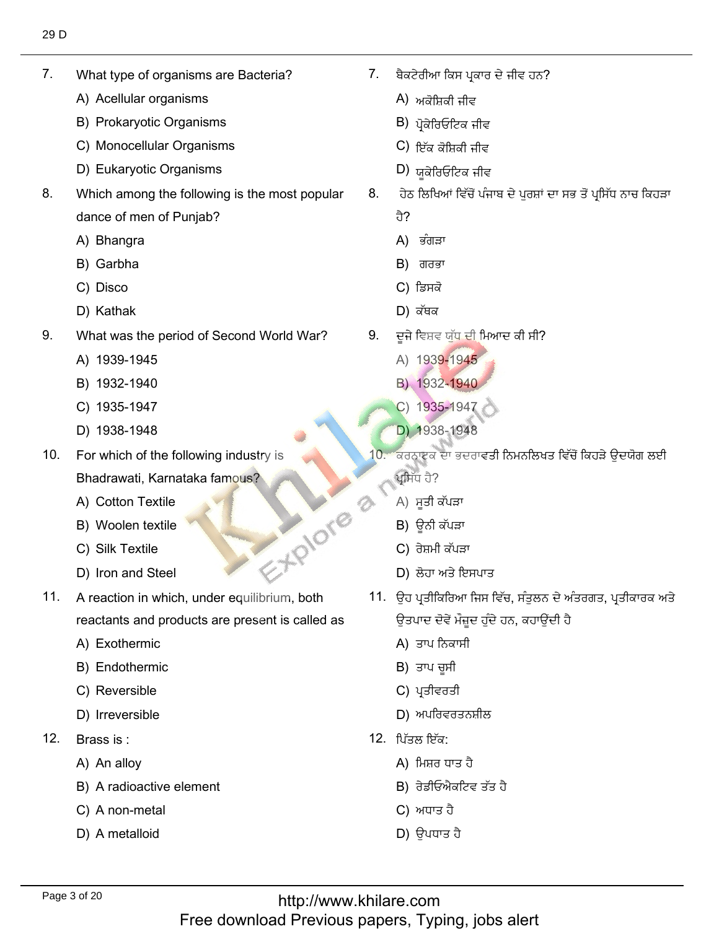$7<sub>1</sub>$ What type of organisms<br>A) Acellular organisms

7. What type of organisms are Bacteria?

- A) Acellular organisms
- A) Acellular organisms<br>B) Prokaryotic Organisms<br>C) Monocellular Organisms
- C) Monocellular Organisms<br>D) Eukarvotic Organisms
- D) Eukaryotic Organisms
- 8. Which among the following is the most popular dance of men of l<br>A) Bhangra
	- A) Bhangra<br>B) Garbha
	- B) Garbha<br>C) Disco
	- C) Disco
- D) Kathak ذ٬ذـ 9. What was the period of Second World War?
- 9. What was the perio<br>A) 1939-1945
	- A) 1939-1945<br>B) 1932-1940
	- B) 1932-1940
	- B) 1932-1940<br>C) 1935-1947<br>D) 1938-1948
	- D) 1938-1948
- For which of the following industry is 10. Bhadrawati, Karnataka<br>A) Cotton Textile
	- A) Cotton Textile<br>B) Woolen textile
	- B) Woolen textile<br>C) Silk Textile
	- C) Silk Textile
- C) Silk Textile<br>
D) Iron and Steel
- A reaction in which, under equilibrium, both  $11.$ reactants and produ<br>A) Exothermic
	- A) Exothermic
	- A) Exothermic<br>B) Endothermic<br>C) Reversible
	- C) Reversible
- C) Reversible<br>D) Irreversible
- $12<sup>7</sup>$ Brass is:
	- Brass is :<br>A) An alloy
	- A) An alloy<br>B) A radioactive element<br>C) A non-metal
	- C) A non-metal<br>D) A metalloid
	-

 $7.$ ਬੈਕਟੇਰੀਆ ਕਿਸ ਪ੍ਰ<br>A) *ਅਕੋ*ਸ਼ਿਕੀ ਜੀਵ

?كٍِٔطٗفيْذᴆلُذٓأيٗغذ٘ن 7.

- A) ਅਕੋਸ਼ਿਕੀ ਜੀਵ<br>B) ਮੋਕੇਰਿਓਟਿਕ ਜੀਵ
- B) ਪ੍ਰੋਕੇਰਿਓਟਿਕ ਜੀਵ<br>C) ਇੱਕ ਕੋਧਿਕੀ ਜੀਵ
- C) ਇੱਕ ਕੋਸ਼ਿਕੀ ਜੀਵ<br>D) ਸ਼ਕੇਰਿਓਟਿਕ ਜੀਵ
- 
- D) ਯੂਕੇਰਿਓਟਿਕ ਜੀਵ<br>8. ਹੇਠ ਲਿਖਿਆਂ ਵਿੱਚੋਂ ਪੰਜਾਬ ਦੇ ਪਰਸ਼ਾਂ ਦਾ ਸਭ ਤੋਂ ਪਸਿੱਧ ਨਾਚ ਕਿਹੜਾ
	-
	- ਹੈ?<br>A) ਭੰਗੜਾ
	- A) ਭੰਗੜਾ<br>B) ਗਰਭਾ<br>C) ਡਿਸਕੋ
	-
	- $D$ ) ਕੱਥਕ
	- 9. ਦੂਜੇ ਵਿਸ਼ਵ ਯੁੱਧ ਦੀ ਮਿਆਦ<br>A) 1939-1945
		- A) 1939-1945
		- A) 1939-1945<br>B) 1932-**19**40
		- B) 1932-1940<br>C) 1935-1947<br>D) 1938-1948
		-
- ੱ<mark>D) 1</mark>938-1948<br>10. ਕਰਨਾਟਕ ਦਾ ਭਦਰਾਵਤੀ ਨਿਮਨਲਿਖਤ ਵਿੱਚੋਂ ਕਿਹੜੇ ਉਦਯੋਗ ਲਈ<br>ਪ੍ਰਸਿੱਧ ਹੈ?  $\mathcal{L}_{\text{c}}$ 
	- ਪ੍ਰਸਿੱਧ ਹੈ?<br>A) ਸੂਤੀ ਕੱਪੜਾ<br>B) ਉਨੀ ਕੱਪੜਾ
	- $B$ ) ਉਨੀ ਕੱਪੜਾ
	- B) ਊਨੀ ਕੱਪੜਾ<br>C) ਰੇਸ਼ਮੀ ਕੱਪੜਾ
- C) ਰੇਸ਼ਮੀ ਕੱਪੜਾ<br>D) ਲੋਹਾ ਅਤੇ ਇਸਪਾਤ
	- . ਉਹ ਪ੍ਰਤੀਕਿਰਿਆ ਜਿਸ ਵਿੱਚ, ਸੰਤਲਨ ਦੇ ਅ
		- ਉਤਪਾਦ ਦੋਵੇਂ ਮੌਜ਼ੂ<br>A) ਤਾਪ ਨਿਕਾਸੀ A) ਤਾਪ ਨਿਕਾਸੀ<br>B) ਤਾਪ ਚਸੀ
		- $B$ ) ਤਾਪ ਚੁਸੀ
		- B) ਤਾਪ ਚੂਸੀ<br>C) ਪ੍ਰਤੀਵਰਤੀ
- C) ਪ੍ਰਤੀਵਰਤੀ<br>D) ਅਪਰਿਵਰਤਨਸ਼ੀਨ<br>12. ਪਿੱਤਲ ਇੱਕ:
	- $12.$  ਪਿੱਤਲ ਇੱਕ:
		- ਪਿੱਤਲ ਇੱਕ:<br>A)ੀਮਿਸ਼ਰ ਧਾਤ ਹੈ
		- A) ਮਿਸ਼ਰ ਧਾਤ ਹੈ<br>B) ਰੇਡੀਓਐਕਟਿਵ<br>C) ਅਧਾਤ ਹੈ
		- C) ਅਧਾਤ ਹੈ
		- $D$ ) ਉਪਧਾਤ ਹੈ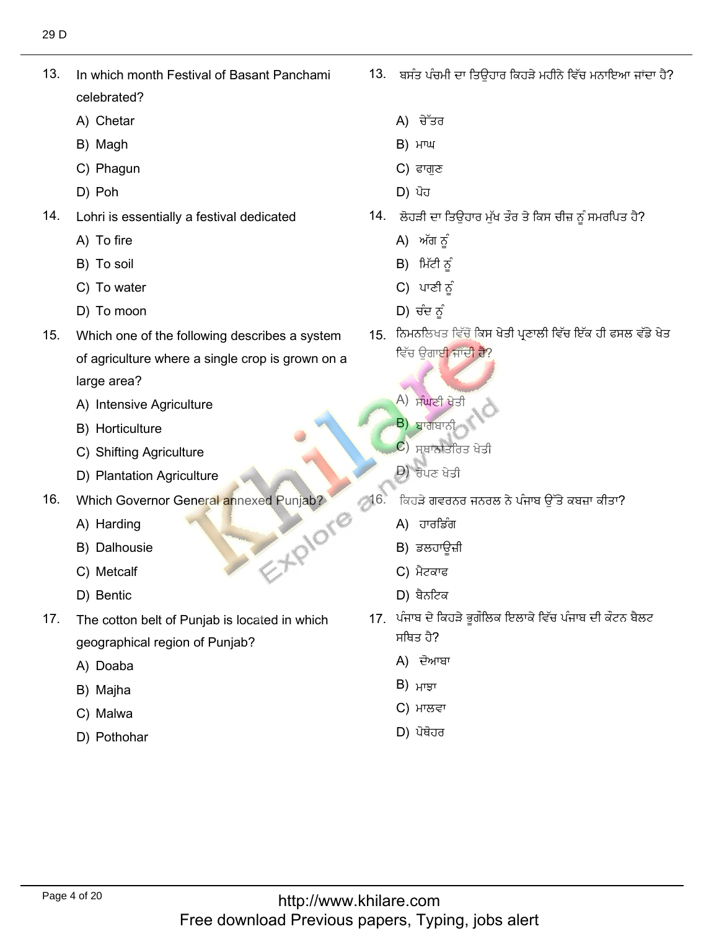$13.$ In which month Festival of Basant Panchami celebrated?<br>A) Chetar

13. In which month Festival of Basant Panchami

- A) Chetar<br>B) Magh
- B) Magh
- B) Magh<br>C) Phagun<br>D) Poh لِٙ 14. Lohri is essentially a festival dedicated
	-
- $14.$ Lohri is essenti<br>A) To fire
	- A) To fire<br>B) To soil
	- B) To soil
	- B) To soil<br>C) To water<br>D) To moon
- ص٫فكٖ٫ 15. Which one of the following describes a system
- $15.$ Which one of the following describes a system of agriculture where a single crop is grown on a large area?
	- large area?<br>A) Intensive Agriculture<br>B) Horticulture
	- B) Horticulture
	- B) Horticulture<br>C) Shifting Agriculture<br>D) Plantation Agriculture
	- D) Plantation Agriculture
- 16. Which Governor<br>A) Harding ان المستوى المستوى المستوى المستوى المستوى المستوى المستوى المستوى المستوى المستوى المستوى المستوى المستوى المستوى المستوى المستوى المستوى المستوى المستوى المستوى المستوى المستوى المستوى المستوى المستوى المستوى المستوى ال
	- A) Harding
	- A) Harding<br>B) Dalhousie<br>C) Metcalf
	- C) Metcalf<br>D) Bentic
	-
- $17.$ The cotton belt of Punjab is located in which geographical r<mark>e</mark><br>A) Doaba
	- A) Doaba<br>B) Maiha
	- B) Majha<br>C) Malwa
	- C) Malwa
	- D) Pothohar

13. ਬਸੰਤ ਪੰਚਮੀ ਦਾ ਤਿਉਹਾਰ ਕਿਹੜੇ ਮਹੀਨੇ ਵਿੱਚ ਮਨਾਇਆ ਜਾਂਦਾ ਹੈ?

 $\mathcal{C}^*$ ʻ $\mathcal{C}^*$ ʻ $\mathcal{C}^*$ ʻ $\mathcal{C}^*$ ʻ $\mathcal{C}^*$ ʻ $\mathcal{C}^*$ 

- A) ਚੇੱਤਰ<br>B) ਮਾਘ
- B) ਮਾਘ<br>C) ਫਾਗਣ
- 
- D) ਪੋਹ
- <sup>ļ</sup>. ਲੋਹੜੀ ਦਾ ਤਿਉਰ<br>A) ਅੱਗ ਨੂੰ
	- A) ਅੱਗ ਨੂੰ<br>B)ੀਮੱਟੀ ਨੂੰ
	- B) ਮਿੱਟੀ ਨੂੰ
	- B) ਮਿੱਟੀ ਨੂੰ<br>C) ਪਾਣੀ ਨੂੰ
	-
- بُّ D) ਚੰਦ ਨੂੰ<br>15. ਨਿਮਨਲਿਖਤ ਵਿੱਚੋਂ ਕਿਸ ਖੇਤੀ ਪਣਾਲੀ ਵਿੱਚ ਇੱਕ ਹੀ ਫਸਲ ਵਿੱਚ ਉਗਾ<mark>ਈ ਜਾਂਦੀ ਹੈ?</mark>
	- ٔؿٗرٔؾسُ٫)<br>A) ਸੰਘਣੀ ਖੇਤੀ<br>B) ਸ਼ਾਰਾਸਾਨੀ
	- $B$ ) ਬਾਗਬਾਨ
	- <mark>B) ਬਾਗ</mark>ਬਾਨੀ<br>C) ਸਥਾਨਾਂਤਰਿਤ<br>D) ਜੈ।ਨ ਮੇਤੀ
	- $D$ ) ਰੋਪਣ ਖੇਤੀ
- $-20.000$  and  $-20.000$ ੀਕਹੜੇ ਗਵਰਨਰ<br>A) ਹਾਰਡਿੰਗ
	- A) ਹਾਰਡਿੰਗ
	- A) ਹਾਰਡਿੰਗ<br>B) ਡਲਹਾਉਜ਼ੀ B) ਡਲਹਾਊ<br>C) ਮੈਟਕਾਫ
	-
	- $D)$  ਬੈਨਟਿਕ
	- .<br>ਪੰਜਾਬ ਦੇ <sup>ਰਿ</sup> <u> ਹੈ?</u>
		- ਸਥਿਤ ਹੈ?<br>A) ਦੋਆਬਾ<br>B) ਮਾੜਾ
		-
		- ਮਾਲਵਾ B) ਮਾਝਾ<br>C) ਮਾਲਵਾ<br>D) ਪੋਥੋਹਰ
		-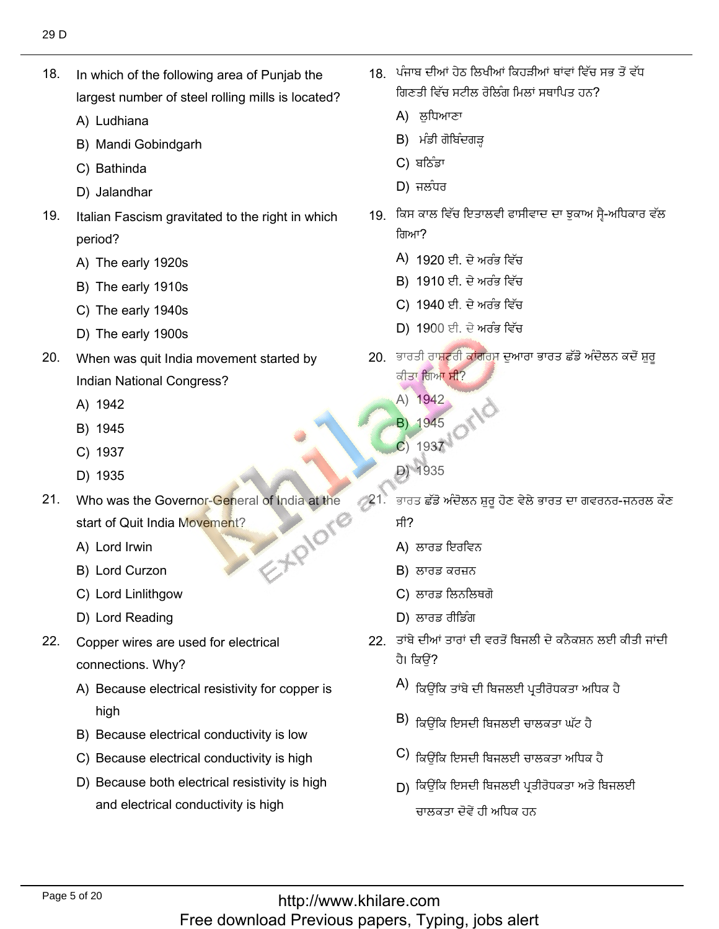$18.$ In which of the following area of Punjab the largest number of<br>A) Ludhiana

18. In which of the following area of Punjab the

- A) Ludhiana
- A) Ludhiana<br>B) Mandi Gobindgarh<br>C) Bathinda
- 
- C) Bathinda<br>D) Jalandhar طً٫يق 19. Italian Fascism gravitated to the right in which
- 19. Italian Fascism gravitated to the right in which period?
	- period?<br>A) The early 1920s<br>B) The earlv 1910s
	- B) The early 1910s<br>C) The earlv 1940s
	- C) The early 1940s<br>D) The earlv 1900s
	- D) The early 1900s
- $20.$ When was quit India movement started by Indian Nationa<br>A) 1942
	-
	- A) 1942<br>B) 1945
	- B) 1945<br>C) 1937
	- C) 1937<br>D) 1935 D) 1935
- Who was the Governor-General of India at the  $21.$ EXPIONE start of Quit India l<br>A) Lord Irwin
	- A) Lord Irwin
	- A) Lord Irwin<br>B) Lord Curzon
	- B) Lord Curzon<br>C) Lord Linlithgow<br>D) Lord Reading
	- D) Lord Reading
- $22<sub>1</sub>$ Copper wires are used for electrical connections. Why?
	- nections. Why?<br>Because electrical resistivity for copper is
	- high<br>B) Because electrical conductivity is low<br>C) Because electrical conductivity is high
	- C) Because electrical conductivity is high<br>D) Because both electrical resistivitv is high
	- D) Because both electrical resistivity is high and electrical conductivity is high

18. ਪੰਜਾਬ ਦੀਆਂ ਹੇਠ ਲਿਖੀਆਂ ਕਿਹੜੀਆਂ ਥਾਂਵਾਂ ਵਿੱਚ ਸਭ ਤੋਂ ਵੱਧ ਗਿਣਤੀ ਵਿੱਚ ਸਟੀਲ ਰੋਲਿੰਗ ਮਿਲਾਂ ਸਥਾਪਿਤ ਹਨ? ਗਿਣਤੀ ਵਿੱਚ ਸਟੀਲ<sup>਼</sup><br>A) ਲੁਧਿਆਣਾ<br>B) ਮੰਡੀ ਗੋਬਿੰਦਗੜ

قٍ مِنْ الْمُسْتِحِفِينَ بِإِيَّابِينَ بِينَ الْمُسْتَحِينَ بِينَ الْمُسْتَحِينَ بِينَ الْمُسْتَحِينَ بِينَ ال

- 
- B) ਮੰਡੀ ਗੋ<br>C) ਬਠਿੰਡਾ
- 
- $\Box$ ) ਜਲਧਰ
	- 19 ਕਿਸ ਕਾਲ ਵਿੱਚ ਇਤਾਲਵੀ ਫਾਸੀਵਾਦ ਦਾ ਝਕਾਅ ਸੈ-ਅਧਿਕਾਰ ਵੱਲ صٍٓ٬ه٫يئٗفة
		- ਗਿਆ?<br>A) 1920 ਈ. ਦੇ ਅਰੰਭ ਵਿੱਚ<br>B) 1910 ਈ. ਦੇ ਅਰੰਭ ਵਿੱਚ
		- B) 1910 ਈ. ਦੇ ਅਰੰਭ ਵਿੱਚ
		- B) 1910 ਈ. ਦੇ ਅਰੰਭ ਵਿੱਚ<br>C) 1940 ਈ. ਦੇ ਅਰੰਭ ਵਿੱਚ<br>D) 1900 ਈ. ਦੇ ਅਰੰਭ ਵਿੱਚ
		- D) 1900 ਈ. ਦੇ ਅਰੰਭ ਵਿੱਚ
	- ). ਭਾਰਤੀ ਰਾ<mark>ਸ਼ਟਰੀ ਫ</mark> ਕੀਤਾ ਗਿਆ ਸੀ?
		- ਕੀਤਾ ਗਿਆ<mark><br>A) 1942</mark>
		- A) 1942<br>**B**) 1945 **B**) 1945<br>**C**) 1937<br>D) 1935
		-
		-
- 21. ਜਨਰਲ-ਗਵਰਨਰ-ਜਨਰਲ ਕੌਣ<br>–<br>– 21. ਭਾਰਤ ਛੱਡੋ ਅੰਦੋਲਨ ਸ਼ਰ ਹੋਣ ਵੇਲੇ ਭਾਰਤ ਦਾ ਗਵਰਨਰ-ਜਨਰਲ ਕੌਣ
	- ਸੀ?<br>A) ਲਾਰਡ ਇਰਵਿ<br>B) ਲਾਰਡ ਕਰਜ਼ਨ
	- $B$ ) ਲਾਰਡ ਕਰਜ਼ਨ
- B) ਲਾਰਡ ਕਰਜ਼ਨ<br>C) ਲਾਰਡ ਲਿਨਲਿ C) ਲਾਰਡ ਲਿਨਲਿਥਗੋ<br>D) ਲਾਰਡ ਰੀਡਿੰਗ
	-
	- 22. ਤਾਂਬੇ ਦੀਆਂ ਤਾਰਾਂ ਦੀ ਵਰਤੋਂ ਬਿਜਲੀ ਦੇ ਕਨੈਕਸ਼ਨ ਲਈ ਕੀਤੀ ਜਾਂਦੀ  $\forall$  is the set of  $i$  if  $i$ ਹੈ। ਕਿਉਂ?<br>A) <del>ਪਰਾਧ ਜ਼ਰ</del>
		- ِ٘غ٬سْؿذًْصةًطنٔٓفُبذٓᶳذٓ
		- $\vert$ B) ਕਿਉਂਕਿ ਇਸਦੀ ਬਿਜਲਈ ਚਾਲਕਤਾ ਘੱਟ ਹੈ ِّ فُبْنُ الْمَسْتَخِذُ فَبِينَ الْمُسْتَخِذُ فَبِينَ الْمُسْتَخِذُ فَبِينَ الْمَسْتَخِذُ فَلْسَنَا فَلْمَ يَس
		- ושפוס וכא<del>נ</del><br>C) <del>והמנה מה</del> ਕਿਉਂਕਿ ਇਸਦੀ ਬਿਜਲਈ ਚਾਲਕਤਾ ਅਧਿਕੇ ਹ
		- -› ਕਿਉਂਕਿ ਇਸਦੀ ਬਿਜਲਈ ਚਾਰ<br>D) ਕਿਉਂਕਿ ਇਸਦੀ ਬਿਜਲਈ ਪ੍ਰਤ ਚਾਲਕਤਾ ਦੋਵੇਂ ਹੀ ਅਧਿਕ ਹਨ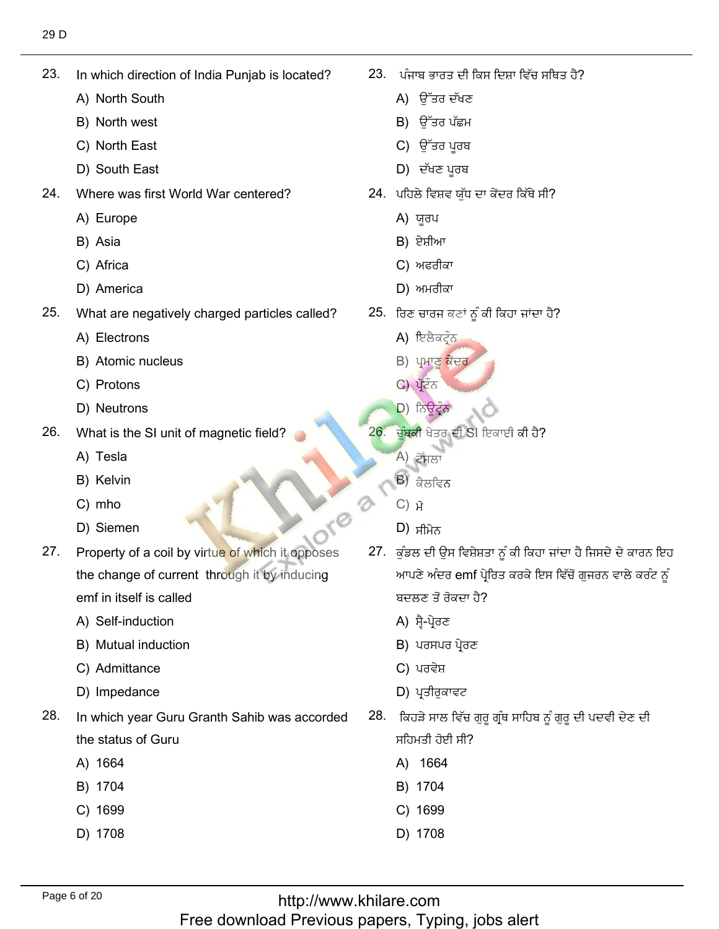23. In which directio<br>A) North South

23. In which direction of India Punjab is located?

- A) North South<br>B) North west
- B) North west<br>C) North East
- C) North East<br>D) South East
- D) South East
- 24. Where was first<br>A) Europe
	- A) Euro<sub>l</sub><br>B) Asia
	- B) Asia
	- B) Asia<br>C) Africa
- C) Africa<br>D) America
- $25.$ What are neg<br>A) Electrons
	- A) Electrons
	- A) Electrons<br>B) Atomic nucleus<br>C) Protons
	- C) Protons
- C) Protons<br>D) Neutrons
- 26. What is the SI<br>A) Tesla
	- A) Tesla
	- A) Tesla<br>B) Kelvin<br>C) mho
	- C) mho
- C) mho<br>D) Siemen a coil by virtue of which it opposes the which is opposed which it opposes that we have a composed which it opposes
- Property of a coil by virtue of which it opposes  $27.$ the change of current through it by inducing emf in itself is called<br>A) Self-induction
	- A) Self-induction
	- A) Self-induction<br>B) Mutual induction<br>C) Admittance
	- C) Admittance<br>D) Impedance
	- D) Impedance
- 28. In which year Guru Granth Sahib was accorded the status of 0<br>A) 1664
	-
	- A) 1664<br>B) 1704
	- B) 1704<br>C) 1699 C) 1699<br>D) 1708
	-

ا، ਪੰਜਾਬ ਭਾਰਤ ਦੀ <sup>.</sup>

?ِ٘ؿـُٓصٍَْٓ٬فُٓذٔٓفؿيْهنْط٫ل 23.

- ਪੰਜਾਬ ਭਾਰਤ ਦੀ<br>A) ਉੱਤਰ ਦੱਖਣ
- A) ਉੱਤਰ ਦੱਖਣ<br>B) ਉੱਤਰ ਪੱਛਮ<br>C) ਉੱਤਰ ਪਰਬ
- C) ਉੱਤਰ ਪੂਰਬ<br>D) ਦੱਖਣ ਪਰਬ
- $D$ ) ਦੱਖਣ ਪੂਰਬ
- <sup>ļ</sup>. ਪਹਿਲੇ ਵਿਸ਼ਵ ਯੁੱਧ<br>A) ਯਰਪ
	-
	- A) ਯੂਰਪ<br>B) ਏਸ਼ੀਆ B) ਏਸ਼ੀਆ
	- B) ਏਸ਼ੀਆ<br>C) ਅਫਰੀਕਾ<br>D) ਅਮਰੀਕਾ
	- $D$ ) ਅਮਰੀਕਾ
- 25. ਰਿਣ ਚਾਰਜ ਕਣਾਂ<br>A) ਇਲੈਕਟੌਨ
	- A) ਇਲੈਕਟ੍ਰੌਨ
	- A) ਇਲੈਕਟ੍ਰੌਨ<br>B) ਪ੍ਰਮਾਣੂ ਕੇਂਦਰ<br>C) ਪੋਟੌਨ
	- C) ਪ੍ਰੋਟੌਨ
- (C) ਪ੍ਰੋਟੌਨ<br>
(D) ਨਿਊਟ੍ਰੌਨ<br>
(D) ਨਿਊਟ੍ਰੌਨ
	- $26.$ <mark>ਚੁੰਬਕੀ</mark> ਖੇਤਰ ਦੀ !<br>A) <del>ਟੇਸ</del>ਲਾ
		-
		- A) ਟੇਸਲਾ<br>B) <del>ਡੇਲਟਿਨ</del> B) ਕੈਲਵਿਨ<br>C) ਜੋ
		- $C)$   $\overrightarrow{H}$
		- $(D)$  ਸੀਮੇਨ
- ីD) ਸੀਮੇਨ<br>27. ਕੁੰਡਲ ਦੀ ਉਸ ਵਿਸ਼ੇਸ਼ਤਾ ਨੂੰ ਕੀ ਕਿਹਾ ਜਾਂਦਾ ਹੈ ਜਿਸਦੇ ਦੇ ਕਾਰਨ ਇਹ<br>ਆਪਣੇ ਅੰਦਰ emf ਪੇਰਿਤ ਕਰਕੇ ਇਸ ਵਿੱਚੋਂ ਗਜਰਨ ਵਾਲੇ ਕਰੰਟ ਨੰ ਆਪਣੇ ਅੰਦਰ emf ਪ੍ਰੇਰਿ<br>ਬਦਲਣ ਤੋਂ ਰੋਕਦਾ ਹੈ? ਬਦਲਣ ਤੋਂ ਰੋਕਦਾ ਹੈ?<br>A) ਸੈ-ਪੇਰਣ
	- A) ਸ੍ਵੈ-ਪ੍ਰੇਰਣ<br>B) ਪਰਸਪਰ
	- A) ਸ੍ਵੈ-ਪ੍ਰੇਰਣ<br>B) ਪਰਸਪਰ ਪ੍ਰੇਰਣ<br>C) ਪਰਵੇਸ਼
	- C) ਪਰਵੇਸ਼
- C) ਪਰਵੇਸ਼<br>D) ਪ੍ਰਤੀਰੁਕਾਵਟ
	- 8. ਂ ਕਿਹੜੇ ਸਾਲ ਵਿੱਚ ਰ ਸਹਿਮਤੀ ਹੋਈ ਸੀ?<br>A) 1664
		- A) 1664 A) 1664<br>B) 1704
		-
		- B) 1704<br>C) 1699
		- C) 1699<br>D) 1708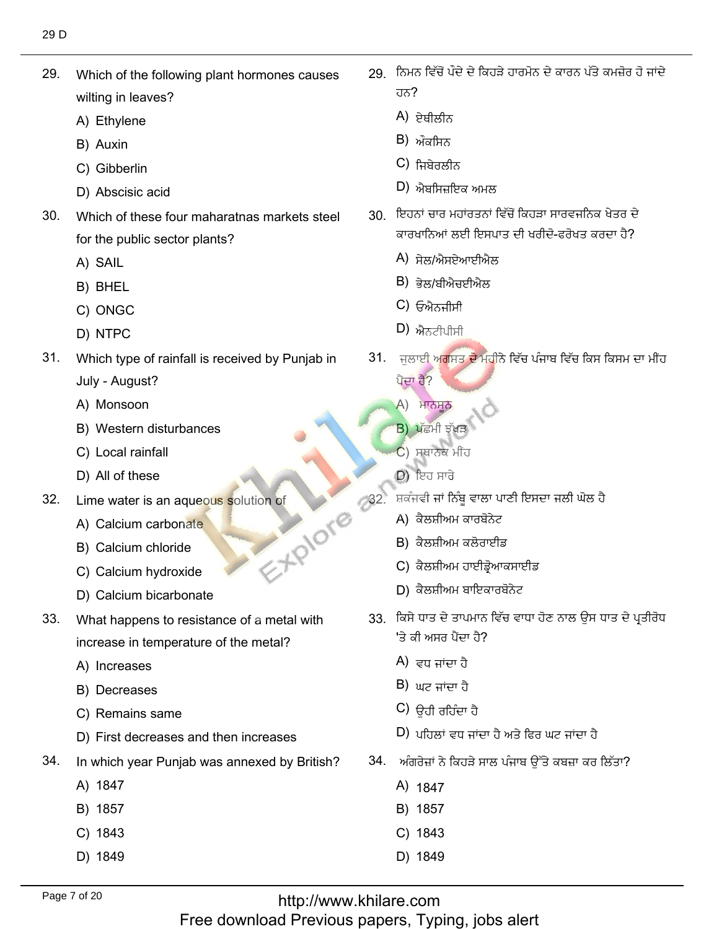29. Which of the following plant hormones causes wilting in leaves?<br>A) Ethvlene

29. Which of the following plant hormones causes

- A) Ethylene<br>B) Auxin
- B) Auxin
- B) Auxin<br>C) Gibberlin
- C) Gibberlin<br>D) Abscisic acid
- $30.$ Which of these four maharatnas markets steel for the public<br>A) SAIL
	- A) SAIL
	- A) SAIL<br>B) BHEL
	- B) BHEL<br>C) ONGC<br>D) NTPC
	- D) NTPC
- $31.$ Which type of rainfall is received by Punjab in July - August?<br>A) Monsoon
	- A) Monsoon
	- A) Monsoon<br>B) Western disturbances<br>C) Local rainfall
	- C) Local rainfall<br>D) All of these
- **C**) Local rainfall<br>
D) All of these D) ਇਹ ਸਾਰੇ
- $32.$ Lime water is an aqueo<mark>us s</mark><br>A) Calcium carbonate
	- A) Calcium carbonate<br>B) Calcium chloride
	- B) Calcium chloride<br>C) Calcium hydroxide
	-
	- C) Calcium hydroxide<br>D) Calcium bicarbonate D) Calcium bicarbonate
- 33. What happens to resistance of a metal with
	- increase in tei<br>A) Increases A) Increases
	- A) Increases<br>B) Decreases
	- B) Decreases<br>C) Remains same
- C) Remains same<br>D) First decreases and then increases
- 34. In which year<br>A) 1847
	-
	- A) 1847<br>B) 1857 B) 1857<br>C) 1843
	- C) 1843<br>D) 1849
	-

29 ਨਿਮਨ ਵਿੱਚੋਂ ਪੌਦੇ ਦੇ ਕਿਹੜੇ ਹਾਰਮੋਨ ਦੇ ਕਾਰਨ ਪੱਤੇ ਕਮਜ਼ੋਰ ਹੋ ਜਾਂਦੇ كًٔٔـج

ُفِيْرٍ فِي الْطِيْرِ فِي الْطِيْرِ فِي الْطِيْرِ فِي الْطِيْرِ فِي الْطِيْرِ فِي الْكِتَابِ فِي الْطِيْرِ فِي

- ਹਨ?<br>A) ਏਥੀਲੀਨ<br>B) ਔਕਸ਼ਿਨ
- B) ਔਕਸਿਨ<br>C) ਜ਼ਿ<del>ਬੇ</del>ਜਲੀਨ
- $C$ ) ਜ਼ਿਸ਼ੇਰਲੀਨ
- C) ਜਿਬੇਰਲੀਨ<br>D) ਐਬਸਿਜ਼ਇਕ ਅਮਲ
	- 30. ਇਹਨਾਂ ਚਾਰ ਮਹਾਂਰਤਨਾਂ ਵਿੱਚੋਂ ਕਿਹੜਾ ਸਾਰਵਜਨਿਕ ਖੇਤਰ ਦੇ ਕਾਰਖਾਨਿਆਂ ਲਈ ਇਸਪਾਤ ਦੀ ਖਰੀਦੋ-ਫਰੋਖਤ ਕਰਦਾ ਹੈ?
		- ਕਾਰਖਾਨਿਆਂ ਲਈ ਇਸ<br>A) ਸੇਲ/ਐਸਏਆਈਐ<br>B) <del>ਕੇਲ/ਸੀਐਜਈਐਲ</del>
		- B) ਭੇਲ/ਬੀਐਚਈ<sup>,</sup><br>C) ਓਐਨ੍ਹੀਬੀ
		- C) ਓਐਨਜੀਸੀ<br>D) ਐਨਟੀਮੀਬੀ
		- $D$ ) ਐਨਟੀਪੀਸੀ
	- 31. ਜਲਾਈ<sup></sup> ਪੈਂਦਾ ਹੈ? ਭਲ/ਬੀਅਚਈਅਲ<br>ਓਐਨਜੀਸੀ<br>ਐਨਟੀਪੀਸੀ<br>ਾਈ ਅਗਸਤ ਦੇ ਮਹੀਨੇ ਵਿੱਚ ਪੰ<br>ਹੈ?<br>ਮਾਨਸੂਨ<br>ਪੱਛਮੀ ਝੱਖੜ \<br>ਮਥਾਨੇਕ ਮੀਂਹ<br>ਸੋਚੀ ਜਾਂ ਨਿੰਬੂ ਵਾਲਾ ਪਾਣੀ ਇਸ<br>ਵੀ ਜਾਂ ਨਿੰਬੂ ਵਾਲਾ ਪਾਣੀ ਇਸ<br>ਕੈਲਸ਼ੀਅਮ ਕਾਰਬੋਨੇਟ
		- ਪੈਂਦਾ ਹੈ?<br>A) ਮਾਨਸਨ
		- $B)$  ਪੱਛਮੀ ਝੱਖੜ
		- $\overline{c}$ ) ਸਥਾਨਕ ਮੀਂਹ
		- $D$ ੇ ਇਹ ਸਾਰੇ
- <sub>ਸ਼ਕੰਜਵੀ ਜਾਂ ਨਿੰਬੂ ਵਾਲਾ ਪ<br>A) ਕੈਲਸ਼ੀਅਮ ਕਾਰਬੋਨੇਟ</sub>
	- A) ਕੈਲਸ਼ੀਅਮ ਕਾਰਬੋਨੇਟ
	- B) ਕੈਲਸ਼ੀਅਮ ਕਲੋਰਾਈਡ
	- B) ਕੈਲਸ਼ੀਅਮ ਕਲੋਰਾਈਡ<br>C) ਕੈਲਸ਼ੀਅਮ ਹਾਈਡ੍ਰੋਆਕਸਾਾ
	- C) ਕੈਲਸ਼ੀਅਮ ਹਾਈਡ੍ਰੋਆਕਸਾਈਡ<br>D) ਕੈਲਸ਼ੀਅਮ ਬਾਇਕਾਰਬੋਨੇਟ
		- ਕਿਸੇ ਧਾਤ ਦੇ ਤਾਪਮਾਨ<br>'ਤੇ ਤੀ ਪਾਲ ਪੈਂਡ ਤੈ<mark>?</mark> 'ਤੇ ਕੀ ਅਸਰ ਪੈਂਦਾ ਹੈ?
			- 'ਤੇ ਕੀ ਅਸਰ ਪੈਂਦਾ<br>A) ਵਧ ਜਾਂਦਾ ਹੈ<br>B) ਘਟ ਜਾਂਦਾ ਹੈ
			- B) ਘਟ ਜਾਂਦਾ ਹੈ<br>C) <del>ਉਹ</del>ੀ ਰਹਿੰਦਾ ਹੈ
			-
			- C) ਉਹੀ ਰਹਿੰਦਾ ਹੈ<br>D) ਮਹਿਲਾਂ ਵਧ ਜਾਂਦਾ ਹੈ ਅਤੇ ਫਿਰ ਮਾਟ ਜਾਂਦਾ ਹੈ  $\vert$ D) ਪਹਿਲਾਂ ਵਧ ਜਾਂਦਾ ਹੈ ਅਤੇ ਫਿਰ ਘਟ ਜਾਂਦਾ ਹੈ
		- 34. ਅੰ
			- -ਅੰਗਰੇਜ਼ਾਂ ਨੇ<br>A) 1847
			- B) 1857
			- B) 1857<br>C) 1843 1843<br>1849
			-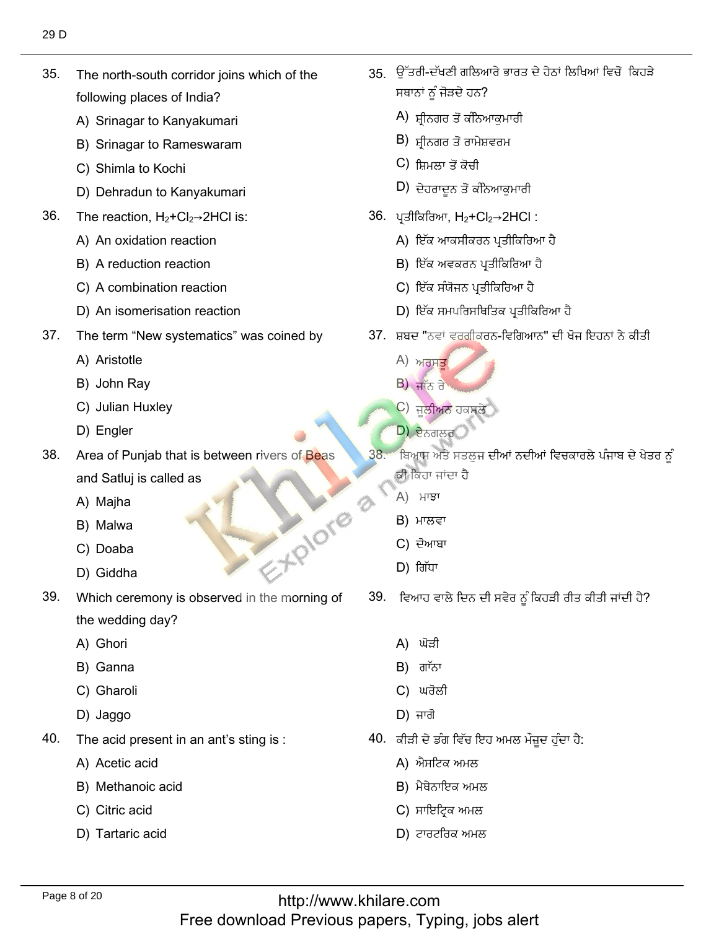- $35.$ The north-south corridor joins which of the following places of India?
	- A) Srinagar to Kanyakumari
	- B) Srinagar to Rameswaram
	- C) Shimla to Kochi
	- D) Dehradun to Kanyakumari
- 36. The reaction,  $H_2 + Cl_2 \rightarrow 2HCl$  is:
	- A) An oxidation reaction
	- B) A reduction reaction
	- C) A combination reaction
	- D) An isomerisation reaction
- 37. The term "New systematics" was coined by
	- A) Aristotle
	- B) John Ray
	- C) Julian Huxley
	- D) Engler
- 38. Area of Punjab that is between rivers of Beas and Satluj is called as
	- A) Majha
	- B) Malwa
	- C) Doaba
	- D) Giddha
- 39. Which ceremony is observed in the morning of the wedding day?
	- A) Ghori
	- B) Ganna
	- C) Gharoli
	- D) Jaggo
- 40. The acid present in an ant's sting is :
	- A) Acetic acid
	- B) Methanoic acid
	- C) Citric acid
	- D) Tartaric acid
- 35. ਉੱਤਰੀ-ਦੱਖਣੀ ਗਲਿਆਰੇ ਭਾਰਤ ਦੇ ਹੇਠਾਂ ਲਿਖਿਆਂ ਵਿਚੋਂ ਕਿਹੜੇ ਸਥਾਨਾਂ ਨੂੰ ਜੋੜਦੇ ਹਨ?
	- A) ਸ਼੍ਰੀਨਗਰ ਤੋਂ ਕੰਨਿਆਕਮਾਰੀ
	- B) ਸ਼੍ਰੀਨਗਰ ਤੋਂ ਰਾਮੇਸ਼ਵਰਮ
	- C) ਸ਼ਿਮਲਾ ਤੋਂ ਕੋਚੀ
	- D) ਦੇਹਰਾਦਨ ਤੋਂ ਕੰਨਿਆਕਮਾਰੀ
- 36. ਪ੍ਰਤੀਕਿਰਿਆ, H<sub>2</sub>+Cl<sub>2</sub>→2HCl :
	- A) ਇੱਕ ਆਕਸੀਕਰਨ ਪ੍ਰਤੀਕਿਰਿਆ ਹੈ
	- B) ਇੱਕ ਅਵਕਰਨ ਪ੍ਰਤੀਕਿਰਿਆ ਹੈ
	- C) ਇੱਕ ਸੰਯੋਜਨ ਪ੍ਰਤੀਕਿਰਿਆ ਹੈ
	- D) ਇੱਕ ਸਮਪਰਿਸਥਿਤਿਕ ਪ੍ਰਤੀਕਿਰਿਆ ਹੈ
- 37. ਸ਼ਬਦ "ਨਵਾਂ ਵਰਗੀਕਰਨ-ਵਿਗਿਆਨ" ਦੀ ਖੋਜ ਇਹਨਾਂ ਨੇ ਕੀਤੀ
	- $A)$  ਅਰਸਤ
	- B) ਜਾੱਨ ਰੇ
	- C) ਜਲੀਅਨ ਹਕਸਲੇ
	- D) ਏਨਗਲਰ
- $38 -$ ਬਿਆਸ ਅਤੇ ਸਤਲੁਜ ਦੀਆਂ ਨਦੀਆਂ ਵਿਚਕਾਰਲੇ ਪੰਜਾਬ ਦੇ ਖੇਤਰ ਨੂੰ ਕੀ ਕਿਹਾ ਜਾਂਦਾ ਹੈ
	- A) ਮਾਝਾ
	- B) ਮਾਲਵਾ
	- C) ਦੋਆਬਾ
	- $D)$  ਗਿੱਧਾ

E-HPIOTE

- 39. ਵਿਆਹ ਵਾਲੇ ਦਿਨ ਦੀ ਸਵੇਰ ਨੂੰ ਕਿਹੜੀ ਰੀਤ ਕੀਤੀ ਜਾਂਦੀ ਹੈ?
	- A) ਘੋੜੀ
	- $B$ ) ਗਾੱਨਾ
	- C) ਘਰੋਲੀ
	- $D)$  ਜਾਗੋ
- 40. ਕੀੜੀ ਦੇ ਡੰਗ ਵਿੱਚ ਇਹ ਅਮਲ ਮੌਜ਼ੁਦ ਹੁੰਦਾ ਹੈ:
	- A) ਐਸਟਿਕ ਅਮਲ
	- **B)** ਮੈਥੇਨਾਇਕ ਅਮਲ
	- C) ਸਾਇਟ੍ਰਿਕ ਅਮਲ
	- D) ਟਾਰਟਰਿਕ ਅਮਲ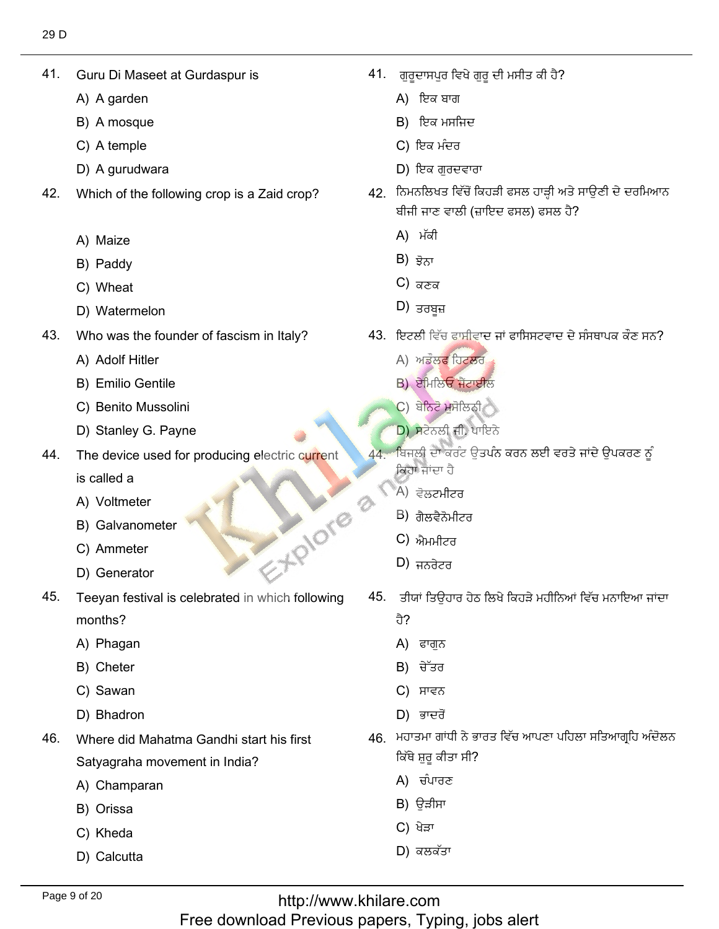41. Guru Di Mase<br>A) A garden

41. Guru Di Maseet at Gurdaspur is

- A) A garden<br>B) A mosque
- B) A mosque<br>C) A temple
- C) A temple
- D) A gurudwara
- 42. Which of the following crop is a Zaid crop?
	- A) Maize
	- A) Maize<br>B) Paddy<br>C) Wheat
	- C) Wheat
- C) Wheat<br>D) Watermelon
- 43. Who was the found<br>A) Adolf Hitler
	- A) Adolf Hitler
	- A) Adolf Hitler<br>B) Emilio Gentile
	- B) Emilio Gentile<br>C) Benito Mussolini<br>D) Stanlev G. Pavne
	- D) Stanley G. Payne
- 44. The device used for producing electric current is called a
	- is called a<br>A) Voltmeter
	- A) Voltmeter<br>B) Galvanometer<br>C) Ammeter
	- C) Ammeter
	- D) Generator
- Teeyan festival is celebrated in which following 45. months? months?<br>A) Phagan<br>B) Cheter
	-
	- B) Cheter<br>C) Sawan
	- C) Sawan
- C) Sawan<br>D) Bhadron
- 46 Where did Mahatma Gandhi start his first Satyagraha moveme<br>A) Champaran
	- A) Champ<br>B) Orissa
	- B) Orissa<br>C) Kheda
	- C) Kheda
	- D) Calcutta

. ਗੁਰੂਦਾਸਪੁਰ ਵਿਖੇ<br>A) ਇਕ ਬਾਗ

ِّ إِنَّ فِي الْمَرْضِ الْمَرْضِ الْمَرْضِ الْمُرْضِعَ بِهِذِي الْمَرْضِ الْمُرْضِعَ الْمُرْضِعَ الْمُرْضِعَةِ

- A) ਇਕ ਬਾਗ
- A) ਇਕ ਬਾਗ<br>B) ਇਕ ਮਸਜਿ<sup>,</sup><br>C) ਇਕ ਮੰਦਰ
- 
- ذبزٕفيٍْيْ 42. Which of the following crop is a Zaid crop? D) ਇਕ ਗਰਦਵਾਰਾ
	- .<br>. ਨਿਮਨਲਿਖਤ ਵਿੱਚੋਂ ਕਿਹੜੀ ਫਸਲ ਹਾੜ੍ਹੀ ਅਤੇ ਸ ਬੀਜੀ ਜਾਣ ਵਾਲੀ<br>A)ਾਮੱਕੀ
		- A) ਮੱਕੀ<br>B) ਝੋਨਾ
		- $B$ ) ਭੋਨਾ
		- B) ਝੋਨਾ<br>C) ਕਣਕ<br>D) ਤਰਬਹ
		- $\vert D\rangle$  ਤਰਬਜ਼
	- <sup>}</sup>. ਇਟਲੀ ਵਿੱਚ ਫਾਸੀਵਾ ਇਟਲੀ ਵਿੱਚ ਫਾਸੀਵਾਦ<br>A) ਅਡੌਲ**ਫ** ਹਿਟਲਰ
		-
		- A) ਅਡੌਲਫ ਹਿਟਲ<br>B) ਏਮਿਲਿਓ ਜੈਂਟਾਈ
		- B) ਏਮਿਲਿਓ ਜੈਂਟਾਈਲ<br>C) ਬੇਨਿਟੋ ਮਸੋਲਿਨੀ
	- (C) ਬੇਨਿਟੋ ਮੁਸੋਲਿਨੀ<br>
	<mark>D) ਸ</mark>ਟੇਨਲੀ ਜੀ. ਪਾਇਨੇ
		- <u>ਬਿਜਲੀ ਦਾ ਕਰੰਟ ਉਤਪੰਨ ਕਰਨ ਲਈ ਵਰਤੇ ਜਾਂਦੇ ਉਪਕਰਣ ਨੂੰ</u>  $44 -$ ਕਿਹਾ ਜਾਂਦਾ ਹੈ<br>A) ਵੋਲਟਮੀਟਰ<br>B) ਗੈਲਟੈਨੋਮੀਟਰ 'ਜਾਂਦਾ ਹੈ
			-
			- B) ਗੈਲਵੈਨੋਮੀਟਰ<br>C) ਐਪਪੀਟਰ
			- C) ਐਮਮੀਟਰ<br>D) ਜਨਰੇਟਰ
	- $\frac{1}{2}$  figure
		- ।<br>5. ਤੀਾ
			-

5. Hiplore

- ਹੈ?<br>A) ਫਾਗੁਨ<br>B) ਚੇੱਤਰ
- B) ਚੈੱਤਰ<br>C) ਸਾਵਨ
- 
- C) ਸਾਵਨ<br>D) ਭਾਦਰੋਂ  $D$ ) ਭਾਦਰੋਂ
- 46. ਮਹਾਤਮਾ ਗਾਂਧੀ ਨੇ ਭਾਰਤ ਵਿੱਚ ਆਪਣਾ ਪਹਿਲਾ ਸਤਿਆਗ੍ਰਹਿ ਅੰਦੋਲਨ ਕਿੱਥੇ ਸ਼ੁਰੂ ਕੀਤਾ ਸੀ<br>A) ਚੰਪਾਰਣ
	- A) ਚੰਪਾਰਣ<br>B) ਉੜੀਸਾ
	- B) ਉੜੀਸਾ<br>C) ਖੇੜਾ
	- C) ਖੇੜਾ
	- $D$ ) ਕਲਕੱਤਾ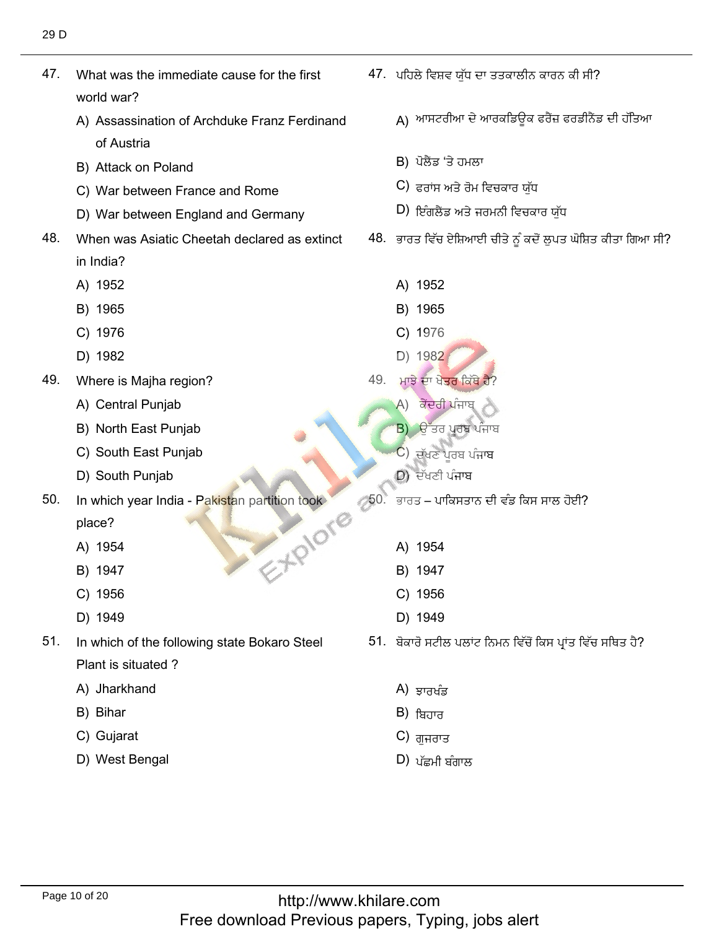$47.47\pm0.000$  was the immediate cause for the first for the first for the first for the first for the first for the first form

47. ਪਹਿਲੇ ਵਿਸ਼ਵ ਯੁੱਧ ਦਾ ਤਤਕਾਲੀਨ ਕਾਰਨ ਕੀ ਸੀ?<br>ੈਂ<br>A) ਆਸਟਰੀਆ ਦੇ ਆਰਕਡਿਊਕ ਫਰੈਂਜ਼ ਫਰਡੀਨੈਂਡ ਦੀ ਹੱਤਿਆ<br>B) ਪੋਲੈਂਡ 'ਤੇ ਹਮਲਾ<br>C) ਫਰਾਂਸ ਅਤੇ ਰੋਮ ਵਿਚਕਾਰ ਯੁੱਧ<br>D) ਇੰਗਲੈਂਡ ਅਤੇ ਜਰਮਨੀ ਵਿਚਕਾਰ ਯੁੱਧ 47. ਪਹਿਲੇ ਵਿਸ਼ਵ ਯੁੱਧ ਦਾ ਤਤਕਾਲੀਨ ਕਾਰਨ ਕੀ ਸੀ? 47. What was the immediate cause for the first д) ਆਸਟਰੀਆ ਦੇ ਆਰਕਡਿਉਕ ਫਰੈਂਜ਼ ਫਰਡੀਨੈਂਡ ਦੀ ਹੱਤਿਆ<br>А world war? <sup>l</sup>d war?<br>Assassination of Archduke Franz Ferdinand B) ਪੋਲੈਂਡ 'ਤੇ ਹਮਲਾ<br>C) ਫ਼ਰਾਂਸ਼ ਅਤੇ ਰੋਮ ਫ਼ਿਜ਼ਕਾਰ ਸ਼ੱਸ of Austria<br>B) Attack on Poland B) Attack on Poland<br>C) War between France and Rome<br>D) War between England and Germany C) ਫਰਾਂਸ ਅਤੇ ਰੋਮ ਵਿਚਕਾਰ ਯੁੱਧ<br>D) ਇੰਗਲੈਂਤ ਅਤੇ ਹਰਪਨੀ ਵਿਚਕਾਰ ਸੱਧ D) War between England and Germany 48. When was Asiatic Cheetah declared as extinct  $\sim$ in India? in India?<br>A) 1952<br>B) 1965 <sup>1952</sup> B) 1965 B) 1965<br>C) 1976 B) 1965<br>C) 1976 C) 1976<br>D) 1982 C) 1976<br>D) 198**2** D) 1982  $D)$  1982 49. Where is Majha region?<br>A) Central Puniab <sup>)</sup>. ਮਾਝੇ ਦਾ ਖੇ<mark>ਤਰ</mark> ਕਿੱ<br>... A) ਕੇਂਦਰੀ ਪੰਜਾਬ A) Central Punjab A) Central Punjab<br>B) North East Punjab<br>C) South East Puniab A) ਕੇਂਦਰੀ ਪੰਜਾਬ<br>B) ਉੱਤਰ ਪੂਰਬ ਪੰਜਾ<br>C) ਦੱਖਣ ਪਰਬ ਪੰਜਾਬ ਕੇਂਦਰੀ ਪੰਜਾਬ D) South Punjab ف٬ؾرٔل٫طْن 50. In which year India - Pakistan partition took  $C$ ) ਦੱਖਣ ਪਰਬ ਪੰਜਾਬ  $D$ ) ਦੱਖਣੀ ਪੰਜਾਬ In which year India - Pakistan partition took ਭਾਰਤ – ਪਾਕਿਸਤਾਨ ਦੀ ਵੰਡ ਕਿਸ ਸਾਲ ਹੋਈ? 50. - 10 - 10 - 10 - 11 place? place?<br>A) 1954<br>B) 1947 A) 1954 A) 1954<br>B) 1947 B) 1947 B) 1947<br>C) 1956<br>D) 1949 B) 1947<br>C) 1956<br>D) 1949 D) 1949 D) 1949  $51.$ 51. ਬੋਕਾਰੋ ਸਟੀਲ ਪਲਾਂਟ ਨਿਮਨ ਵਿੱਚੋਂ ਕਿਸ ਪ੍ਰਾਂਤ ਵਿੱਚ ਸਥਿਤ ਹੈ? In which of the following state Bokaro Steel Plant is situated ?<br>A) Jharkhand A) ਝਾਰਖੰਡ<br>B) <del>ਸ਼ਿ</del>ਹਾਰ A) Jharkl<br>B) Bihar B) Bihar<br>C) Gujarat B) ਬਿਹਾਰ<br>C) ਗੁਜਰਾਤ B) Bihar  $B$ ) ਬਿਹਾਰ D) West Bengal  $(D)$ ਪੱਛਮੀ ਬੰਗਾਲ

ُّهُ٬ في اللهُ عَنْدُ اللَّهُ عَنْدُ اللَّهُ عَنْدُ اللَّهُ عَنْدَ اللَّهُ عَنْدَ اللَّهُ عَنْدَ اللَّهُ٬ فَقُ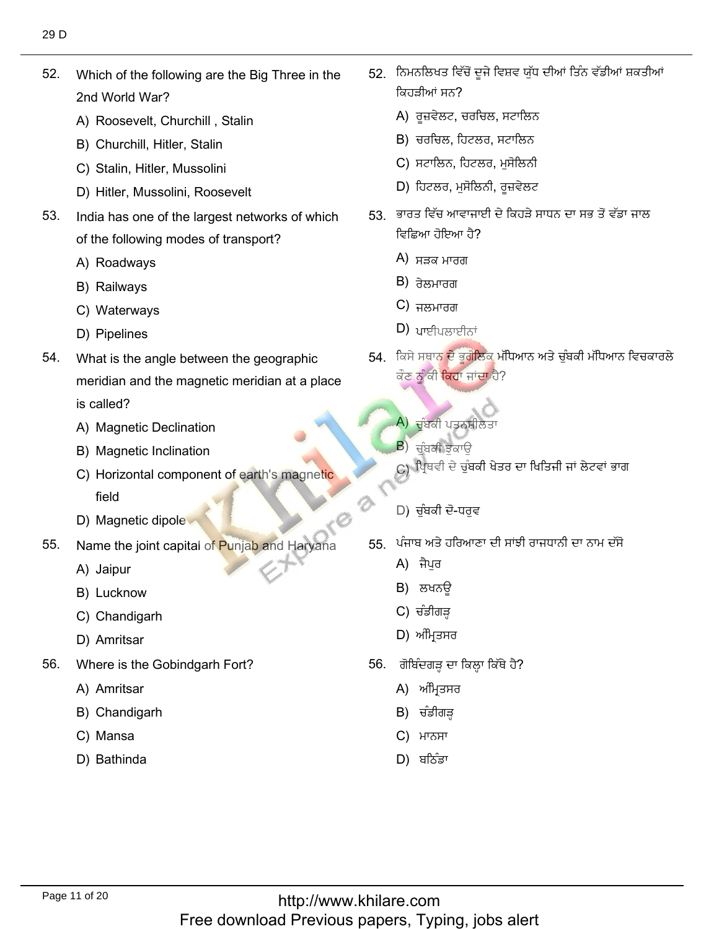52. Which of the following are the Big Three in the 2nd World War? 2nd World War?<br>A) Roosevelt, Churchill , Stalin<br>B) Churchill. Hitler. Stalin

52. Which of the following are the Big Three in the

- 
- B) Churchill, Hitler, Stalin<br>C) Stalin. Hitler. Mussolini
- C) Stalin, Hitler, Mussolini
- C) Stalin, Hitler, Mussolini<br>D) Hitler, Mussolini, Roosevelt
- 53. India has one of the largest networks of which of the following<br>A) Roadwavs
	- A) Roadways<br>B) Railwavs
	- B) Railways
	- B) Railways<br>C) Waterways<br>D) Pipelines
	- D) Pipelines
- 54. What is the angle between the geographic meridian and the magnetic meridian at a place is called?
	- is called?<br>A) Magnetic Declination<br>B) Magnetic Inclination
	- B) Magnetic Inclination
- Magnetic Inclination<br>Horizontal component of earth's magnetic Field<br>
5. D) Magnetic dipole
	-
- 55. Name the<br>A) Jaipur
	- A) Jaipur
	- A) Jaipur<br>B) Lucknow
- B) Lucknow<br>C) Chandigarh<br>D) Amritsar ئ٫ٓوᴆؿُي 56. Where is the Gobindgarh Fort?
	-
- 56. Where is the Go<mark>l</mark><br>A) Amritsar
	- A) Amritsar
	- A) Amritsar<br>B) Chandigarh<br>C) Mansa
	- C) Mansa
	- D) Bathinda
- إأفقٕ٬ىٍٍَٗٓطٖفᶦصٍٓ٬ؿرًٓكوكٓ 52. ?كُإأِٟذٓਕਿਹੜੀਆਂ ਸਨ?
	- ਕਿਹੜੀਆਂ ਸਨ?<br>A) ਰੂਜ਼ਵੇਲਟ, ਚਰਚਿਲ, ਸਟਾਲਿਨ<br>B) ਚਰਚਿਲ. ਹਿਟਲਰ. ਸਟਾਲਿਨ
	- B) ਚਰਚਿਲ, ਹਿਟਲਰ, ਸਟਾਲਿਨ<br>C) ਸਟਾਲਿਨ. ਹਿਟਲਰ. ਮਸੋਲਿਨੀ
	- C) ਸਟਾਲਿਨ, ਹਿਟਲਰ, ਮੁਸੋਲਿਨੀ<br>D) ਹਿਟਲਰ. ਮਸੋਲਿਨੀ. ਰਜ਼ਵੇਲਟ
	- D) ਹਿਟਲਰ, ਮਸੋਲਿਨੀ, ਰਜ਼ਵੇਲਟ
	- 53. ਭਾਰਤ ਵਿੱਚ ਆਵਾਜਾਈ ਦੇ ਕਿਹੜੇ ਸਾਧਨ ਦਾ ਸਭ ਤੋਂ ਵੱਡਾ ਜਾਲ ਵਿਛਿਆ ਹੋਇਆ ਹੈ?
		- ਵਿਛਿਆ ਹੋਇਆ <sup>;</sup><br>A) ਸੜਕ ਮਾਰਗ<br>B) <del>ਤੇਲਪਾਰਗ</del>
		- $B$ ) ਰੇਲਮਾਰਗ B) ਰੇਲਮਾਰਗ<br>C) ਜਲਮਾਰਗ
		-
- C) ਜਲਮਾਰਗ<br>D) ਪਾਈਪਲਾਈਨਾਂ
	- .<br>. ਕਿਸੇ ਸਥਾ<mark>ਨ ਦੇ ਭੂਗੋਲਿਕ</mark> ਮੱਪਿ ਕੌਣ ਨੂੰ ਕੀ ਕਿਹਾ ਜਾਂਦਾ ਹੈ?
		- (A)<br><mark>ਦੱਬਕੀ ਪਤਨਸ਼</mark><br>B) ਜੰਬੂਦੀ ਝੁਕਾਉ

ْؿًَٔكؿلٔذنٕ٫ص

- ਚੁੰਬਕੀ ਝੁਕਾੳ
- C) ਪ੍ਰਿੰਥਵੀ ਦੇ ਚੁੰ<mark>ਬਕੀ ਖੇਤਰ ਦਾ ਖਿਤਿਜੀ ਜਾਂ ਲੇਟਵਾਂ ਭਾਗ</mark>
- D) ਚੰਬਕੀ ਦੋ-ਧਰਵ  $\overline{D}$ , gain c  $\overline{v}$ 
	- ; ਪੰਜਾਬ ਅਤੇ ਹਰਿ<mark>ਆ</mark><br>A) ਜੈਪਰ
		- A) ਜੈਪੁਰ A) ਜੈਪੁਰ<br>B) ਲਖਨਉ
		-
		- C) ਚੰਡੀਗੜ੍ਹ
		- D) ਅੰਮਿਤਸਰ
	- i. ਗੋਬਿੰਦਗੜ੍ਹ ਦਾ ਰਿ<br>A) ਅੰਮਿਤਸਰ
		- A) ਅੰਮ੍ਰਿਤਸਰ<br>B) ਚੰਡੀਗੜ
		- B) ਚੰਡੀਗੜ੍ਹ<br>C) ਮਾਨਸਾ
		- C) ਮਾਨਸਾ<br>D) ਬਠਿੰਡਾ
		-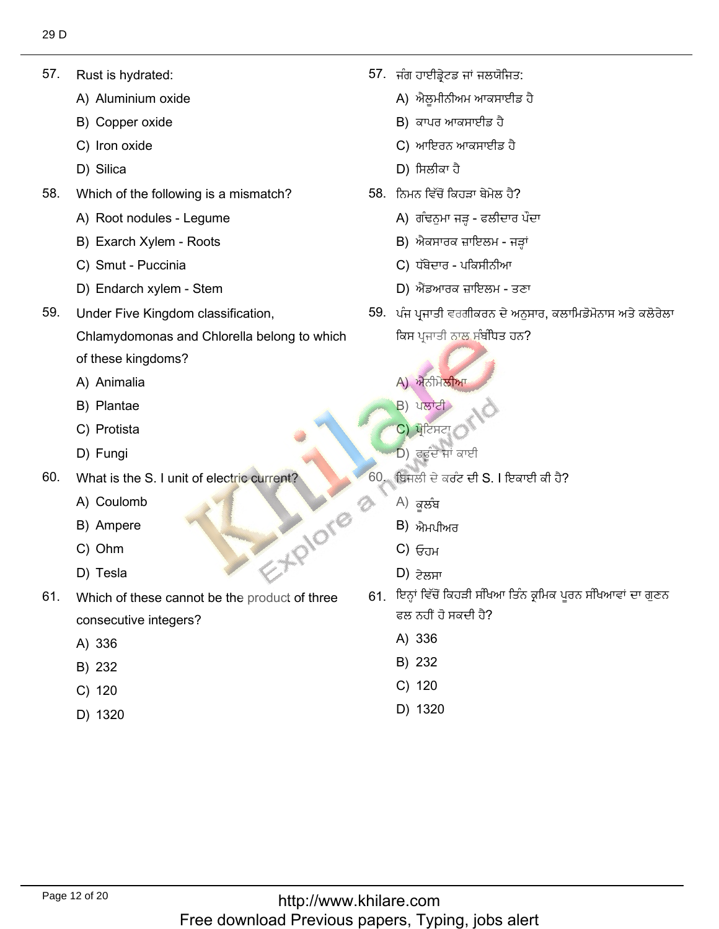57. Rust is hydrated:

57. Rust is hydrated:

- Rust is hydrated:<br>A) Aluminium oxide<br>B) Copper oxide
- B) Copper ox<br>C) Iron oxide
- C) Iron oxide<br>D) Silica
- D) Silica
- 58. Which of the following is a mism<br>A) Root nodules - Legume
	- A) Root nodules Legum<br>B) Exarch Xvlem Roots
	- B) Exarch Xylem Root:<br>C) Smut Puccinia
	- C) Smut Puccinia
- C) Smut Puccinia<br>D) Endarch xylem Stem
- 59. Under Five Kingdom classification,
	- Chlamydomonas and Chlorella belong to which
	- of these kingdom<br>A) Animalia
	- A) Animalia<br>B) Plantae
	- B) Plantae<br>C) Protista
	- C) Protista<br>D) Fungi
	- D) Fungi
- 60. What is the S<br>A) Coulomb
	- A) Coulomb<br>B) Ampere Channel Channel Channel Channel Channel Channel Channel Channel Channel Channel Channel Channel Channel Channel Channel Channel Channel Channel Channel Channel Channel Channel Channel Channel Channel Channel Channel Channe
	- B) Ampere<br>C) Ohm
	- C) Ohm<br>D) Tesla
	-
- 61. Which of these cannot be the product of three consecutive<br>A) 336
	- A) 336<br>B) 232
	- B) 232<br>C) 120
	- $C) 120$
	- D) 1320

ِ٘ؼةُْذاوئٔكٔو ًٖح

: يُطْعِيَّةُ بِيَارٍ مِنْ يَسْتَغُرُ فِي الْطِيْئِينَ بِيَارٍ مِنْ يَسْتَغُرُ فَي الْطِيْئِينَ بِيَارِ مِنْ ي

- ਜੰਗ ਹਾਈਡ੍ਰੇਟਡ ਜ<br>A) ਐਲਮੀਨੀਅਮ
- A) ਐਲੂਮੀਨੀਅਮ ਆਕਸਾ<br>B) ਕਾਪਰ ਆਕਸਾਈਡ ਹੈ
- B) ਕਾਪਰ ਆਕਸਾਈਡ ਹੈ<br>C) ਆਇਰਨ ਆਕਸਾਈਡ ਹੈ C) ਆਇਰਨ ਆਕ<br>D) ਸਿਲੀਕਾ ਹੈ
- D) ਸਿਲੀਕਾ ਹੈ
- <sup>}</sup>. ਨਿਮਨ ਵਿੱਚੋਂ ਕਿਹੜਾ ਬੇਮੇਲ ਹੈ?
	- ਨਿਮਨ ਵਿੱਚੋਂ ਕਿਹੜਾ ਬੇਮੇਲ ਹੈ?<br>A) ਗੰਢਨੁਮਾ ਜੜ੍ਹ ਫਲੀਦਾਰ ਪੌ<br>B) ਐਕਸਾਰਕ ਜ਼ਾਇਲਮ ਜੜਾਂ
	- B) ਐਕਸਾਰਕ ਜ਼ਾਇਲਮ <sup>;</sup><br>C) ਧੱਬੇਦਾਰ ਪਕਿਸੀਨੀਆ
	-
	- C) ਧੱਬੇਦਾਰ ਪਕਿਸੀਨੀਆ<br>D) ਐਂਡਆਰਕ ਜ਼ਾਇਲਮ ਤਣਾ
- D) ਐਂਡਆਰਕ ਜ਼ਾਇਲਮ ਤਣਾ<br>59. ਪੰਜ ਪ੍ਰਜਾਤੀ ਵਰਗੀਕਰਨ ਦੇ ਅਨੁਸਾਰ, ਕਲਾਮਿਡੋਮੋਨਾਸ ਅਤੇ ਕਲੋਰੇਲ<br>ਕਿਸ ਪਜਾਤੀ ਨਾਲ ਸੰਬੰਧਿਤ ਹਨ?
	- A) ਐਨੀਮੇਲੀਆ<br>B) ਪਲਾਂਟੀ

اًٗٔؤكح

- B) ਪਲਾਂਟੀ<br>C) ਪੋਟਿਸਟਾ
- $C$ ) ਪੋਟਿਸਟ
- (C) ਪ੍ਰੋਟਿਸਟਾ )<br>D) ਫਰੂੰਦ ਜਾਂ ਕਾਈ
	- ਬਿਜਲੀ ਦੇ ਕਰੰਟ<sup> ;</sup><br>A) *ਕਾ*ਲੰਬ
		- $A$ ) ਕਲੰਬ
		- A) ਕੂਲੰਬ<br>B) ਐਮਪੀਅਰ<br>C) <del>ਓ</del>ਜ਼ਮ
		- C) ਓਹਮ<br>D) <del>੭ੇਲ</del>਼ਸ਼ਾ
		- $D$ ) ਟੇਲਸਾ
		- 61. ਇਨ੍ਹਾਂ ਵਿੱਚੋਂ ਕਿਹੜੀ ਸੰਖਿਆ ਤਿੰਨ ਕ੍ਰਮਿਕ ਪਰਨ ਸੰਖਿਆਵਾਂ ਦਾ ਗਣਨ ਫਲ ਨਹੀਂ ਹੋ ਸਕਚ<br>A) 336
			- A) 336<br>B) 232
			- B) 232<br>C) 120
			- $C) 120$
			- D) 1320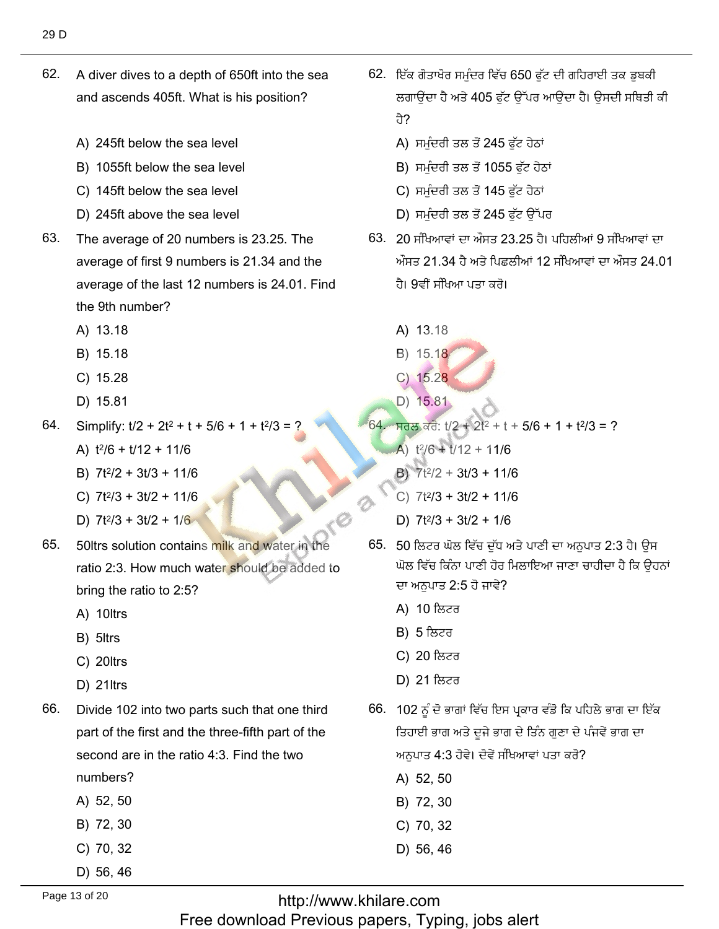- 62. A diver dives to a depth of 650ft into the sea and ascends 405ft. What is his position?
	- A) 245ft below the sea level
	- B) 1055ft below the sea level
	- C) 145ft below the sea level
	- D) 245ft above the sea level
- 63. The average of 20 numbers is 23.25. The average of first 9 numbers is 21.34 and the average of the last 12 numbers is 24.01. Find the 9th number?
	- A) 13.18
	- B) 15.18
	- C) 15.28
	- D) 15.81
- Simplify:  $t/2 + 2t^2 + t + 5/6 + 1 + t^2/3 =$ 64.
	- A)  $t^2/6 + t/12 + 11/6$
	- B)  $7t^2/2 + 3t/3 + 11/6$
	- C)  $7t^2/3 + 3t/2 + 11/6$
	- D)  $7t^2/3 + 3t/2 + 1/6$
- 50ltrs solution contains milk and water in the 65. ratio 2:3. How much water should be added to bring the ratio to 2:5?
	- A) 10ltrs
	- B) 5ltrs
	- C) 20ltrs
	- D) 21ltrs
- 66. Divide 102 into two parts such that one third part of the first and the three-fifth part of the second are in the ratio 4:3. Find the two
	- numbers?
	- A) 52, 50
	- B) 72, 30
	- C) 70, 32
	- D) 56, 46
- 62. ਇੱਕ ਗੋਤਾਖੋਰ ਸਮੰਦਰ ਵਿੱਚ 650 ਫੱਟ ਦੀ ਗਹਿਰਾਈ ਤਕ ਡਬਕੀ ਲਗਾਉਂਦਾ ਹੈ ਅਤੇ 405 ਫੱਟ ਉੱਪਰ ਆਉਂਦਾ ਹੈ। ਉਸਦੀ ਸਥਿਤੀ ਕੀ तै?
	- A) ਸਮੰਦਰੀ ਤਲ ਤੋਂ 245 ਫੱਟ ਹੇਠਾਂ
	- B) ਸਮੁੰਦਰੀ ਤਲ ਤੋਂ 1055 ਫੁੱਟ ਹੇਠਾਂ
	- C) ਸਮੁੰਦਰੀ ਤਲ ਤੋਂ 145 ਫੁੱਟ ਹੇਠਾਂ
	- D) ਸਮੰਦਰੀ ਤਲ ਤੋਂ 245 ਫੱਟ ਉੱਪਰ
- 63. 20 ਸੰਖਿਆਵਾਂ ਦਾ ਔਸਤ 23.25 ਹੈ। ਪਹਿਲੀਆਂ 9 ਸੰਖਿਆਵਾਂ ਦਾ ਔਸਤ 21.34 ਹੈ ਅਤੇ ਪਿਛਲੀਆਂ 12 ਸੰਖਿਆਵਾਂ ਦਾ ਔਸਤ 24.01 ਹੈ। 9ਵੀਂ ਸੰਖਿਆ ਪਤਾ ਕਰੋ।
	- A) 13.18
	- B) 15.18
	- $C)$  15.28
	- D) 15.81
- $64.$  ਸਰਲ ਕਰੋ:  $t/2 + 2t^2 + t + 5/6 + 1 + t^2/3 = ?$ 
	- A)  $t^2/6 + t/12 + 11/6$
	- B)  $7t^2/2 + 3t/3 + 11/6$
	- $C)$  7t<sup>2</sup>/3 + 3t/2 + 11/6
	- D)  $7t^2/3 + 3t/2 + 1/6$
- 65. 50 ਲਿਟਰ ਘੋਲ ਵਿੱਚ ਦੱਧ ਅਤੇ ਪਾਣੀ ਦਾ ਅਨਪਾਤ 2:3 ਹੈ। ਉਸ ਘੋਲ ਵਿੱਚ ਕਿੰਨਾ ਪਾਣੀ ਹੋਰ ਮਿਲਾਇਆ ਜਾਣਾ ਚਾਹੀਦਾ ਹੈ ਕਿ ਉਹਨਾਂ ਦਾ ਅਨਪਾਤ 2:5 ਹੋ ਜਾਵੇ?
	- A) 10 ਲਿਟਰ
	- **B) 5** ਲਿਟਰ
	- C) 20 ਲਿਟਰ
	- D) 21 ਲਿਟਰ
- 66. 102 ਨੂੰ ਦੋ ਭਾਗਾਂ ਵਿੱਚ ਇਸ ਪ੍ਰਕਾਰ ਵੰਡੋ ਕਿ ਪਹਿਲੇ ਭਾਗ ਦਾ ਇੱਕ ਤਿਹਾਈ ਭਾਗ ਅਤੇ ਦੂਜੇ ਭਾਗ ਦੇ ਤਿੰਨ ਗੁਣਾ ਦੇ ਪੰਜਵੇਂ ਭਾਗ ਦਾ ਅਨਪਾਤ 4:3 ਹੋਵੇ। ਦੋਵੇਂ ਸੰਖਿਆਵਾਂ ਪਤਾ ਕਰੋ?
	- A) 52, 50
	- B) 72, 30
	- C) 70, 32
	- D) 56, 46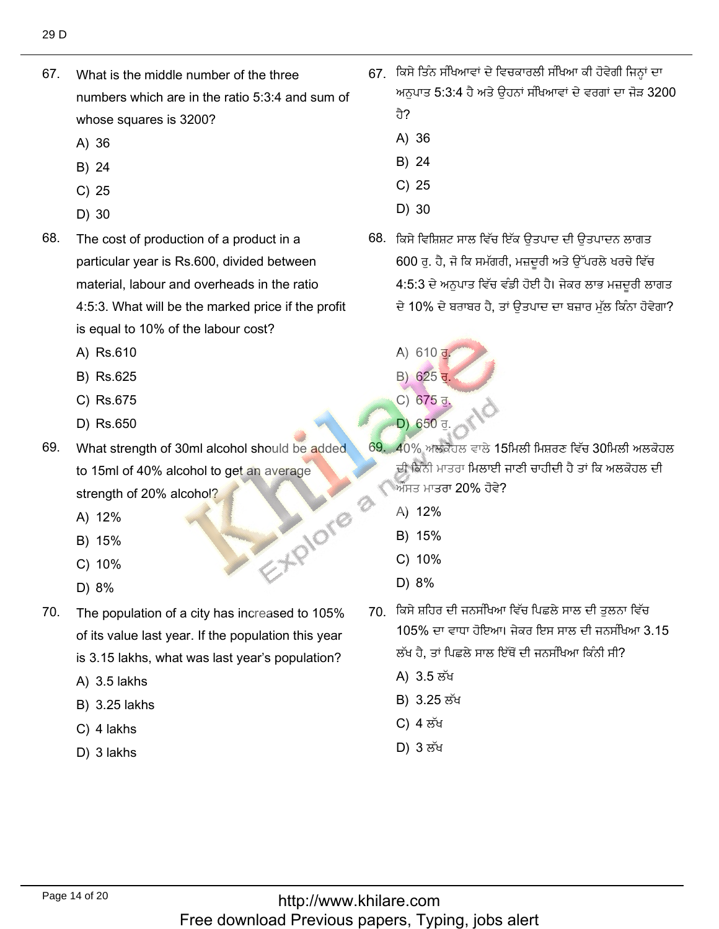67. What is the middle number of the three numbers which are in the ratio  $5:3:4$  and sum of whose squ<mark><br>A) 36</mark>

67. What is the middle number of the three

- A) 36<br>B) 24
- B) 24<br>C) 25
- C) 25<br>D) 30
- $D)$  30
- 68. The cost of production of a product in a particular year is Rs.600, divided between material, labour and overheads in the ratio 4:5:3. What will be the marked price if the profit
	- is equal to 10%<br>A) Rs.610 A) Rs.610
	- A) Rs.610<br>B) Rs.625<br>C) Rs.675
	- C) Rs.675<br>D) Rs.650
	-
- 69. What strength of 30ml alcohol should be added to 15ml of 40% alcohol to get an average strength of 20<br>A) 12%
	- A) 12%<br>B) 15%
	- B) 15%<br>C) 10% C) 10%<br>D) 8%
	- C) 10%<br>D) 8%
	-
- 70. The population of a city has increased to 105% of its value last year. If the population this year
	- is 3.15 lakhs, wha<br>A) 3.5 lakhs  $A)$  3.5 lakhs
	- A) 3.5 lakhs<br>B) 3.25 lakhs<br>C) 4 lakhs
	- C) 4 lakhs<br>D) 3 lakhs
	-

67. ਕਿਸੇ ਤਿੰਨ ਸੰਖਿਆਵਾਂ ਦੇ ਵਿਚਕਾਰਲੀ ਸੰਖਿਆ ਕੀ ਹੋਵੇਗੀ ਜਿਨ੍ਹਾਂ ਦਾ ਅਨਪਾਤ 5:3:4 ਹ<u>ੈ</u> ਹੈ? ੰ<br>ਕਿਸੇ ਤਿੰਨ ਸੰਖਿਆਵਾਂ ਦੇ ਵਿਚਕਾਰਲੀ ਸੰਖਿਅ<br>ਅਨੁਪਾਤ 5:3:4 ਹੈ ਅਤੇ ਉਹਨਾਂ ਸੰਖਿਆਵਾਂ<br>ਹੈ?<br>A) 36<br>D) 24<br>ਕਿਸੇ ਵਿਸ਼ਿਸ਼ਟ ਸਾਲ ਵਿੱਚ ਇੱਕ ਉਤਪਾਦ ਦੀ<br>ਕਿਸੇ ਵਿਸ਼ਿਸ਼ਟ ਸਾਲ ਵਿੱਚ ਇੱਕ ਉਤਪਾਦ ਦੀ<br>600 ਰ. ਹੈ. ਜੋ ਕਿ ਸਮੱਗਰੀ. ਮਜ਼ਦਰੀ ਅਤੇ ؿزًْٔي ٖفٞوهًْ

ْفِيَنِ ٱلْمَسْتَخِذِ ٱلْمُسْتَخِذِينَ ٱلْمُسْتَخِذِينَ ٱلْمَسْتَخِذِينَ ٱلْمُسْتَخِذِينَ ٱلْمُسْتَخِذِينَ ٱلْمُسْتَخِذِينَ

- ਹੈ?<br>A) 36<br>B) 24
- B) 24<br>C) 25
- C) 25<br>D) 30
- 
- كفاف بن الرياض<br>188. ਕਿਸੇ ਵਿਸ਼ਿਸ਼ਟ ਸਾਲ ਵਿੱਚ ਇੱਕ ਉਤਪਾਦ ਦੀ ਉਤਪਾਦਨ ਲਾਗਤ 600 ਰੂ. ਹੈ, ਜੋ ਕਿ ਸਮੱਗਰੀ, ਮਜ਼ਦੂਰੀ ਅਤੇ ਉੱਪਰਲੇ ਖਰਚੇ ਵਿੱਚ 4:5:3 ਦੇ ਅਨੁਪਾਤ ਵਿੱਚ ਵੰਡੀ ਹੋਈ ਹੈ। ਜੇਕਰ ਲਾਭ ਮਜ਼ਦੂਰੀ ਲਾਗਤ<br>ਦੇ 10% ਦੇ ਬਰਾਬਰ ਹੈ. ਤਾਂ ਉਤਪਾਦ ਦਾ ਬਜ਼ਾਰ ਮੱਲ ਕਿੰਨਾ ਹੋਵੇਗਾ?
	- A)  $610 \frac{1}{2}$
	- $B) 625J.$
- C) 675 <u>ਰ</u>. 650  $\frac{c}{b}$  675  $\frac{d}{d}$ . C 675  $\frac{d}{d}$ .
	- $D)$  650 $\overline{d}$
	- <u>ੈ. 40% ਅਲਕੋਹਲ ਵਾਲੇ 15ਮਿਲੀ ਮਿਸ਼ਰਣ ਵਿੱਚ 30ਮਿਲੀ ਅਲਕੋਹ</u> ਦੀ ਕਿੰਨੀ ਮਾਤਰਾ <mark>ਮਿਲਾਈ</mark> ਜ ਔਸਤ ਮਾਤਰਾ 20'<br>A) 12%
		- A) 12%
		- A) 12%<br>B) 15%<br>C) 10%
		- C) 10%<br>D) 8%
	- $\nu$ ) 8%
		- 70. ਕਿਸੇ ਸ਼ਹਿਰ ਦੀ ਜਨਸੰਖਿਆ ਵਿੱਚ ਪਿਛਲੇ ਸਾਲ ਦੀ ਤਲਨਾ ਵਿੱਚ 105% ਦਾ ਵਾਧਾ ਹੋਇਆ। ਜੇਕਰ ਇਸ ਸਾਲ ਦੀ ਜਨਸੰਖਿ ਲੱਖ ਹੈ, ਤਾਂ ਪਿਛਲੇ<br>A) 3.5 ਲੱਖ
			-
			- A) 3.5 ਲੱਖ<br>B) 3.25 ਲੱਖ B) 3.25 ਲੱਖ<br>C) 4 ਲੱਖ
			- C) 4 ਲੱਖ<br>D) 3 ਲੱਖ
			-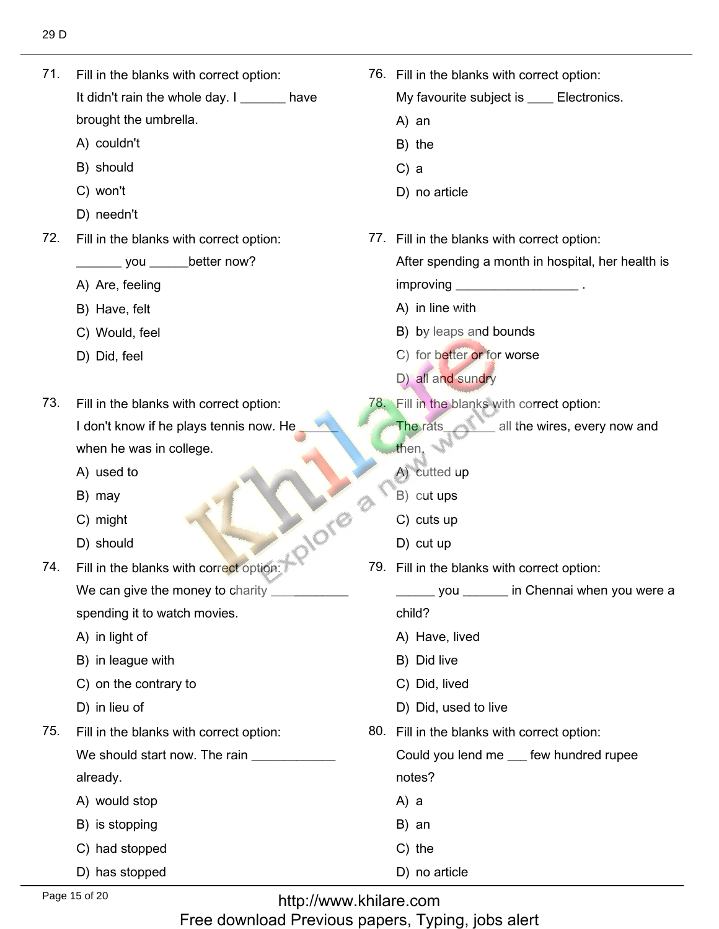$71.$ Fill in the blanks with correct option: It didn't rain the whole day.  $I_{\text{max}}$  have

71. Fill in the blanks with correct option:

brought the umb<br>A) couldn't

- A) couldn't<br>B) should
- B) shoule<br>C) won't C) won't
- C) won't<br>D) needn't
- 72. Fill in the blanks with correct option:

\_\_\_\_\_\_\_ you \_\_\_\_\_\_I<br>A) Are. feeling

- A) Are, feelin<br>B) Have, felt
- B) Have, felt
- B) Have, felt<br>C) Would, feel<br>D) Did, feel
- 

73. Fill in the blanks with correct option: I don't know if he plays tennis now. He when he was in<br>A) used to

- A) used to<br>B) mav
- B) may
- B) may<br>
C) might<br>
D) should
	-

74. Fill in the blanks with correct option: We can give the money to ch

spending it to watch movies.<br>A) in light of

- A) in light of
- A) in light of<br>B) in league with
- B) in league with<br>C) on the contrary to<br>D) in lieu of
- D) in lieu of
- 75. Fill in the blanks with correct option: We should start now. The rain \_\_ already.
	-
	- already.<br>A) would stop<br>B) is stopping
	- B) is stopping<br>C) had stopped
	- C) had stopped<br>D) has stopped
- 76. Fill in the blanks with correct option: My favourit<br>A) an A) an A) an<br>B) the<br>C) a  $C$ ) a D) no article 77. Fill in the blanks with correct option: After spending a month in hospital, her health is improving \_\_\_\_\_\_\_<br>A) in line with
	- A) in line with
	- A) in line with<br>B) by leaps and bounds

76. Fill in the blanks with correct option:

- B) by leaps and bounds<br>C) for better or for worse<br>D) all and sundry
- D) all and sundry
- 78. Fill in the blanks with correct option:
	- The rats all the wires, every now and then.
		- then.<br>A) cutted up<br>B) cut ups
		- B) cut ups<br>C) cuts up
		- C) cuts u<mark>r</mark><br>D) cut up
		- D) cut up
- 79. Fill in the blanks with correct option:
	- you \_\_\_\_\_\_\_ in Chennai when you were a

child?

- child?<br>A) Have, lived<br>B) Did live
- B) Did live
- B) Did live<br>C) Did, lived
- C) Did, lived<br>D) Did, used to live
	- 80. Fill in the blanks with correct option:

Could you lend me \_\_ few hundred rupee notes?<br>A) a

- A) a
- A) a<br>B) an
- B) an<br>C) the
- D) no article

http://www.khilare.com Free download Previous papers, Typing, jobs alert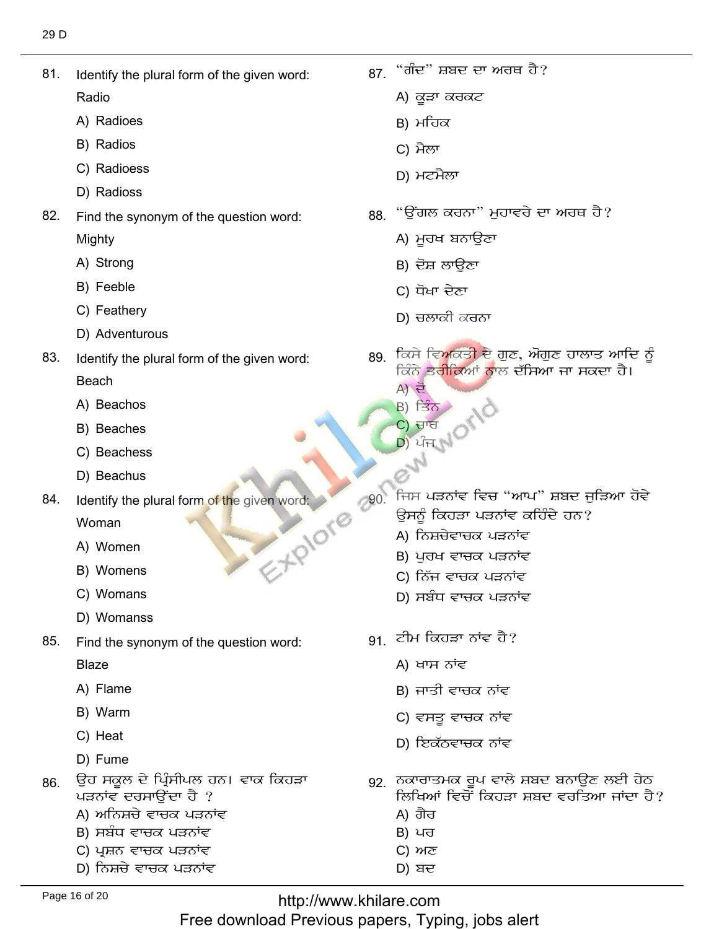- 81. Identify the plural form of the given word:
	- Radio
	- A) Radioes
	- B) Radios
	- C) Radioess
	- D) Radioss
- 82. Find the synonym of the question word: Mighty
	- A) Strong
	- B) Feeble
	- C) Feathery
	- D) Adventurous
- 83. Identify the plural form of the given word: **Beach** 
	- A) Beachos
	- B) Beaches
	- C) Beachess
	- D) Beachus
- Identify the plural form of the given word: 84.

Woman

- A) Women
- B) Womens
- C) Womans
- D) Womanss
- 85. Find the synonym of the question word:

**Blaze** 

- A) Flame
- B) Warm
- C) Heat
- D) Fume
- ਉਹ ਸਕੂਲ ਦੇ ਪ੍ਰਿੰਸੀਪਲ ਹਨ। ਵਾਕ ਕਿਹੜਾ 86 ਪੜਨਾਂਵ ਦਰਸਾਉਂਦਾ ਹੈ ?
	- A) ਅਨਿਸ਼ਚੇ ਵਾਚਕ ਪੜਨਾਂਵ
	- B) ਸਬੰਧ ਵਾਚਕ ਪੜਨਾਂਵ
	- C) ਪ੍ਰਸ਼ਨ ਵਾਚਕ ਪੜਨਾਂਵ
	- D) ਨਿਸ਼ਚੇ ਵਾਚਕ ਪੜਨਾਂਵ
- 87. "ਗੰਦ" ਸ਼ਬਦ ਦਾ ਅਰਥ ਹੈ?
	- A) ਕੁੜਾ ਕਰਕਟ
	- B) ਮਹਿਕ
	- C) ਮੈਲਾ
	- D) ਮਟਮੈਲਾ
- 88. "ਉਂਗਲ ਕਰਨਾ" ਮੁਹਾਵਰੇ ਦਾ ਅਰਥ ਹੈ?
	- A) ਮਰਖ ਬਨਾਉਣਾ
	- B) ਦੋਸ਼ ਲਾਉਣਾ
	- C) ਧੋਖਾ ਦੇਣਾ
	- D) ਚਲਾਕੀ ਕਰਨਾ
- 89. ਕਿਸੇ ਵਿਅਕਤੀ ਦੇ ਗੁਣ, ਔਗੁਣ ਹਾਲਾਤ ਆਦਿ ਨੂੰ ਕਿੰਨੇ ਤਰੀਕਿਆਂ ਨਾਲ ਦੱਸਿਆ ਜਾ ਸਕਦਾ ਹੈ।
	- $A)$   $\vec{e}$
	- $B)$  ਤਿੰਨ
	- C) ਚਾਰ
- Ven word:<br>
Ven word:<br>
Ven Word:<br>
200. ਜਿਸ ਪੜਨਾਂਵ ਵਿਚ "ਆਪ" ਸ਼ਬਦ ਜੁੜਿਆ ਹੋਵੇ<br>
200. ਜਿਸ ਪੜਨਾਂਵ ਕਹਿੰਦੇ ਹਨ?<br>
2016<br>
2016 ਸਿੰਘ ਪੜਨਾਂ
	-
	-
	- C) ਨਿੱਜ ਵਾਚਕ ਪੜਨਾਂਵ
	- D) ਸਬੰਧ ਵਾਚਕ ਪੜਨਾਂਵ
	- $91.$  ਟੀਮ ਕਿਹੜਾ ਨਾਂਵ ਹੈ?
		- A) ਖਾਸ ਨਾਂਵ
		- B) ਜਾਤੀ ਵਾਚਕ ਨਾਂਵ
		- C) ਵਸਤੂ ਵਾਚਕ ਨਾਂਵ
		- D) ਇਕੱਠਵਾਚਕ ਨਾਂਵ
	- 92 ਨਕਾਰਾਤਮਕ ਰੂਪ ਵਾਲੇ ਸ਼ਬਦ ਬਨਾਉਣ ਲਈ ਹੇਠ ਲਿਖਿਆਂ ਵਿਚੋਂ ਕਿਹੜਾ ਸ਼ਬਦ ਵਰਤਿਆ ਜਾਂਦਾ ਹੈ?
		- A) ਗੈਰ
		- B) ਪਰ
		- $C)$   $M<sub>σ</sub>$
		- $D)$  ਬਦ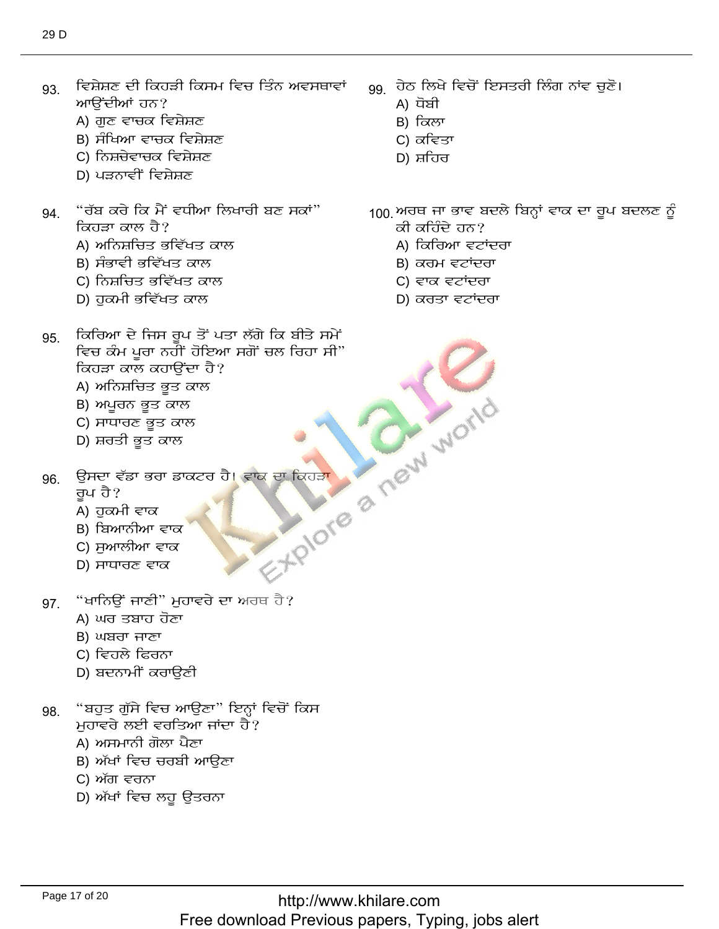- ਵਿਸ਼ੇਸ਼ਣ ਦੀ ਕਿਹੜੀ ਕਿਸਮ ਵਿਚ ਤਿੰਨ ਅਵਸਥਾਵਾਂ 93. ਆਉਂਦੀਆਂ ਹਨ?
	- A) ਗੁਣ ਵਾਚਕ ਵਿਸ਼ੇਸ਼ਣ
	- B) ਸੰਖਿਆ ਵਾਚਕ ਵਿਸ਼ੇਸ਼ਣ
	- C) ਨਿਸ਼ਚੇਵਾਚਕ ਵਿਸ਼ੇਸ਼ਣ
	- D) ਪੜਨਾਵੀਂ ਵਿਸ਼ੇਸ਼ਣ
- "ਰੱਬ ਕਰੇ ਕਿ ਮੈਂ ਵਧੀਆ ਲਿਖਾਰੀ ਬਣ ਸਕਾਂ" 94. ਕਿਹੜਾ ਕਾਲ ਹੈ?
	- A) ਅਨਿਸ਼ਚਿਤ ਭਵਿੱਖਤ ਕਾਲ
	- B) ਸੰਭਾਵੀ ਭਵਿੱਖਤ ਕਾਲ
	- C) ਨਿਸ਼ਚਿਤ ਭਵਿੱਖਤ ਕਾਲ
	- D) ਹਕਮੀ ਭਵਿੱਖਤ ਕਾਲ

A) ਧੋਬੀ B) ਕਿਲਾ

gg ਹੇਠ ਲਿਖੇ ਵਿਚੋਂ ਇਸਤਰੀ ਲਿੰਗ ਨਾਂਵ ਚੁਣੋ।

- C) ਕਵਿਤਾ
- D) ਸ਼ਹਿਰ
- <sub>100.</sub>ਅਰਥ ਜਾ ਭਾਵ ਬਦਲੇ ਬਿਨ੍ਹਾਂ ਵਾਕ ਦਾ ਰੂਪ ਬਦਲਣ ਨੂੰ
	- ਕੀ ਕਹਿੰਦੇ ਹਨ?
		- A) ਕਿਰਿਆ ਵਟਾਂਦਰਾ
		- B) ਕਰਮ ਵਟਾਂਦਰਾ
		- C) ਵਾਕ ਵਟਾਂਦਰਾ
		- D) ਕਰਤਾ ਵਟਾਂਦਰਾ
- ਕਿਰਿਆ ਦੇ ਜਿਸ ਰੂਪ ਤੋਂ ਪਤਾ ਲੱਗੇ ਕਿ ਬੀਤੇ ਸਮੇਂ 95. ਵਿਚ ਕੰਮ ਪੁਰਾ ਨਹੀਂ ਹੋਇਆ ਸਗੋਂ ਚਲ ਰਿਹਾ ਸੀ" **FRIDTE & MEW WORLD** ਕਿਹੜਾ ਕਾਲ ਕਹਾਉਂਦਾ ਹੈ?
	- A) ਅਨਿਸ਼ਚਿਤ ਭੂਤ ਕਾਲ
	- B) ਅਪੁਰਨ ਭੁਤ ਕਾਲ
	- C) ਸਾਧਾਰਣ ਭੁਤ ਕਾਲ
	- D) ਸ਼ਰਤੀ ਭੂਤ ਕਾਲ
- ਉਸਦਾ ਵੱਡਾ ਭਰਾ ਡਾਕਟਰ ਹੈ। ਵਾਕ ਦਾ ਕਿਹੜਾ 96.
	- ਰੁਪ ਹੈ?
	- A) ਹੁਕਮੀ ਵਾਕ
	- B) ਬਿਆਨੀਆ ਵਾਕ
	- C) ਸਆਲੀਆ ਵਾਕ
	- $D$ ) ਸਾਧਾਰਣ ਵਾਕ
- "ਖਾਨਿਉਂ ਜਾਣੀ" ਮੁਹਾਵਰੇ ਦਾ ਅਰਥ ਹੈ? 97.
	- A) ਘਰ ਤਬਾਹ ਹੋਣਾ
	- B) ਘਬਰਾ ਜਾਣਾ
	- C) ਵਿਹਲੇ ਫਿਰਨਾ
	- D) ਬਦਨਾਮੀਂ ਕਰਾੳਣੀ
- "ਬਹੁਤ ਗੁੱਸੇ ਵਿਚ ਆਉਣਾ" ਇਨ੍ਹਾਂ ਵਿਚੋਂ ਕਿਸ 98. ਮੁਹਾਵਰੇ ਲਈ ਵਰਤਿਆ ਜਾਂਦਾ ਹੈ?
	- A) ਅਸਮਾਨੀ ਗੋਲਾ ਪੈਣਾ
	- B) ਅੱਖਾਂ ਵਿਚ ਚਰਬੀ ਆਉਣਾ
	- C) ਅੱਗ ਵਰਨਾ
	- D) ਅੱਖਾਂ ਵਿਚ ਲਹੂ ਉਤਰਨਾ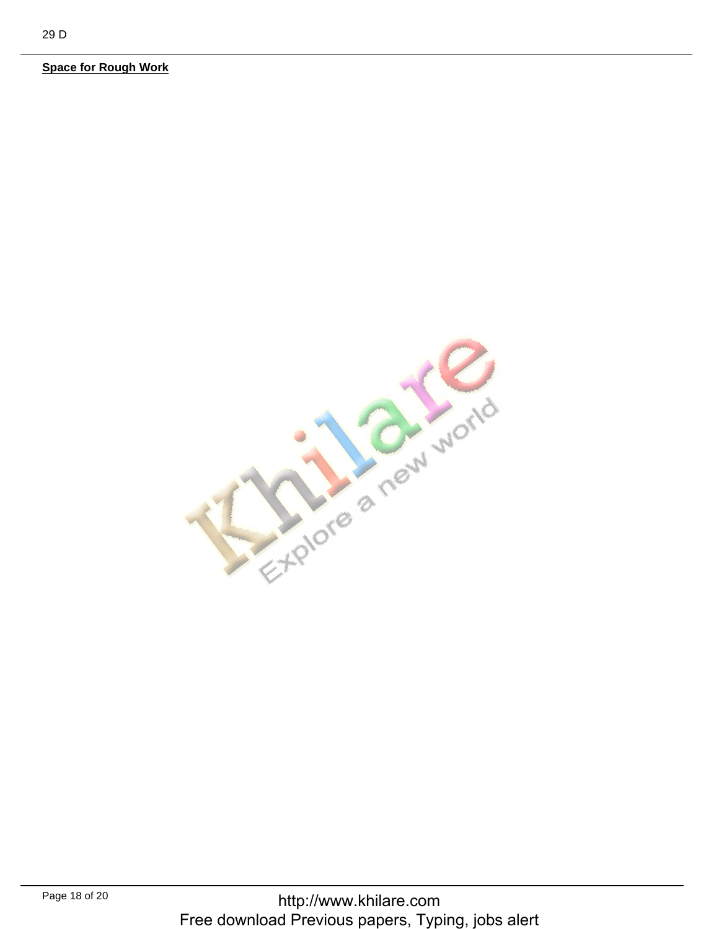**Space for Rough Work** 

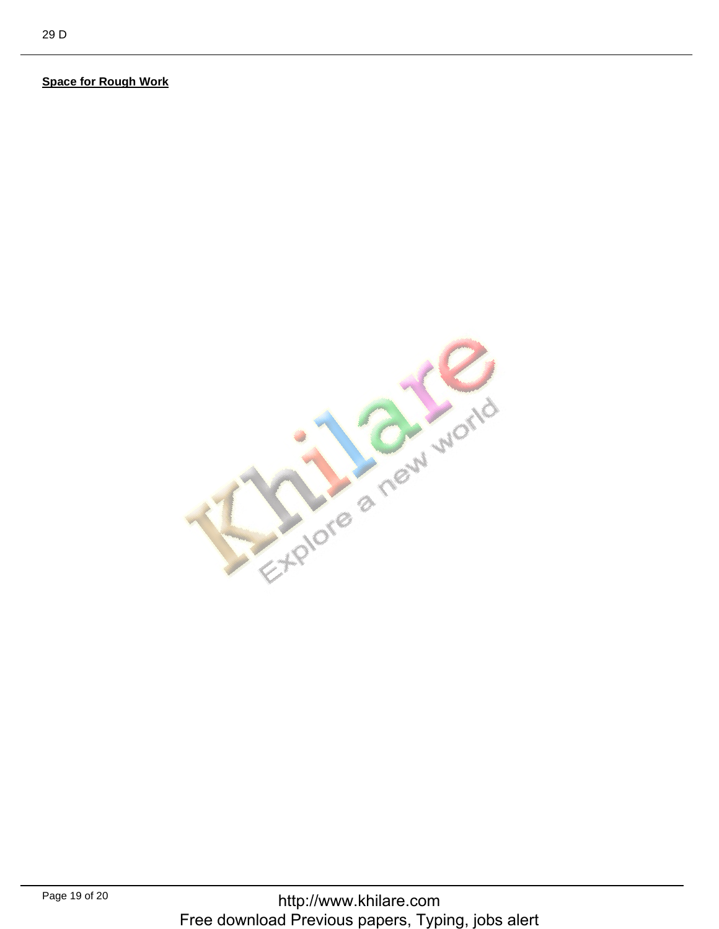## **Space for Rough Work**